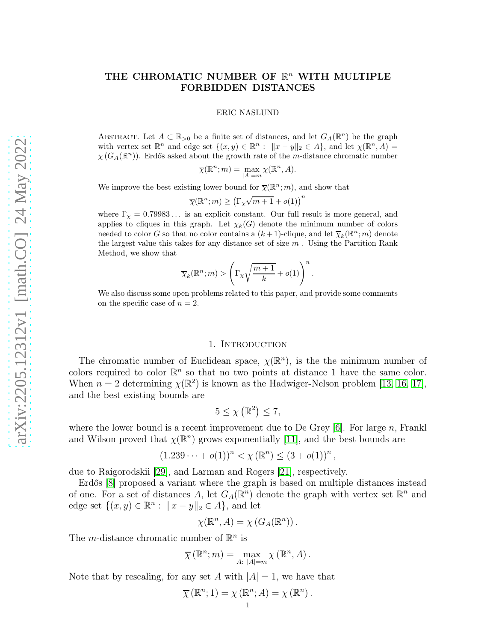# THE CHROMATIC NUMBER OF  $\mathbb{R}^n$  with multiple FORBIDDEN DISTANCES

ERIC NASLUND

ABSTRACT. Let  $A \subset \mathbb{R}_{>0}$  be a finite set of distances, and let  $G_A(\mathbb{R}^n)$  be the graph with vertex set  $\mathbb{R}^n$  and edge set  $\{(x, y) \in \mathbb{R}^n : ||x - y||_2 \in A\}$ , and let  $\chi(\mathbb{R}^n, A) =$  $\chi(G_A(\mathbb{R}^n))$ . Erdős asked about the growth rate of the m-distance chromatic number

$$
\overline{\chi}(\mathbb{R}^n; m) = \max_{|A| = m} \chi(\mathbb{R}^n, A).
$$

We improve the best existing lower bound for  $\bar{\chi}(\mathbb{R}^n; m)$ , and show that

$$
\overline{\chi}(\mathbb{R}^n; m) \ge (\Gamma_\chi \sqrt{m+1} + o(1))^{n}
$$

where  $\Gamma_{\chi} = 0.79983...$  is an explicit constant. Our full result is more general, and applies to cliques in this graph. Let  $\chi_k(G)$  denote the minimum number of colors needed to color G so that no color contains a  $(k+1)$ -clique, and let  $\overline{\chi}_k(\mathbb{R}^n; m)$  denote the largest value this takes for any distance set of size  $m$ . Using the Partition Rank Method, we show that

$$
\overline{\chi}_k(\mathbb{R}^n; m) > \left(\Gamma_\chi \sqrt{\frac{m+1}{k}} + o(1)\right)^n.
$$

We also discuss some open problems related to this paper, and provide some comments on the specific case of  $n = 2$ .

# 1. INTRODUCTION

The chromatic number of Euclidean space,  $\chi(\mathbb{R}^n)$ , is the the minimum number of colors required to color  $\mathbb{R}^n$  so that no two points at distance 1 have the same color. When  $n = 2$  determining  $\chi(\mathbb{R}^2)$  is known as the Hadwiger-Nelson problem [\[13,](#page-22-0) [16,](#page-22-1) [17\]](#page-22-2), and the best existing bounds are

$$
5 \leq \chi\left(\mathbb{R}^2\right) \leq 7,
$$

where the lower bound is a recent improvement due to De Grey  $[6]$ . For large n, Frankl and Wilson proved that  $\chi(\mathbb{R}^n)$  grows exponentially [\[11\]](#page-22-3), and the best bounds are

$$
(1.239\cdots+o(1))^n < \chi(\mathbb{R}^n) \le (3+o(1))^n,
$$

due to Raigorodskii [\[29\]](#page-22-4), and Larman and Rogers [\[21\]](#page-22-5), respectively.

Erdős [\[8\]](#page-22-6) proposed a variant where the graph is based on multiple distances instead of one. For a set of distances A, let  $G_A(\mathbb{R}^n)$  denote the graph with vertex set  $\mathbb{R}^n$  and edge set  $\{(x, y) \in \mathbb{R}^n : ||x - y||_2 \in A\}$ , and let

$$
\chi(\mathbb{R}^n, A) = \chi(G_A(\mathbb{R}^n)).
$$

The *m*-distance chromatic number of  $\mathbb{R}^n$  is

$$
\overline{\chi}(\mathbb{R}^n;m) = \max_{A: |A|=m} \chi(\mathbb{R}^n,A).
$$

Note that by rescaling, for any set A with  $|A|=1$ , we have that

$$
\overline{\chi}(\mathbb{R}^n;1)=\chi(\mathbb{R}^n;A)=\chi(\mathbb{R}^n).
$$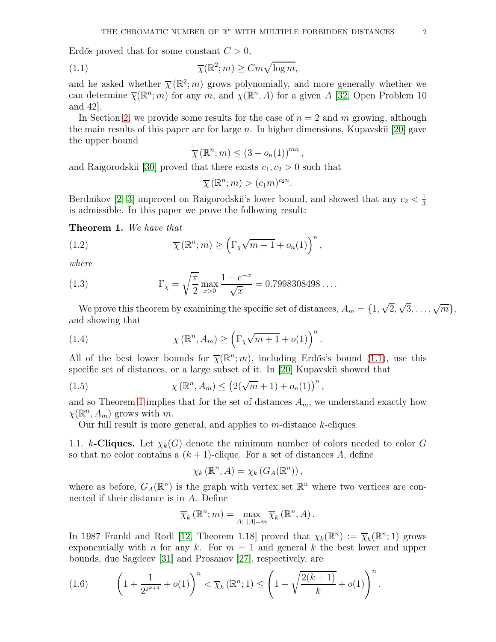Erdős proved that for some constant  $C > 0$ ,

(1.1) 
$$
\overline{\chi}(\mathbb{R}^2; m) \geq Cm\sqrt{\log m},
$$

and he asked whether  $\bar{\chi}(\mathbb{R}^2; m)$  grows polynomially, and more generally whether we can determine  $\bar{\chi}(\mathbb{R}^n;m)$  for any m, and  $\chi(\mathbb{R}^n,A)$  for a given A [\[32,](#page-22-7) Open Problem 10 and 42].

In Section [2,](#page-4-0) we provide some results for the case of  $n = 2$  and m growing, although the main results of this paper are for large  $n$ . In higher dimensions, Kupavskii [\[20\]](#page-22-8) gave the upper bound

<span id="page-1-0"></span>
$$
\overline{\chi}(\mathbb{R}^n;m) \leq (3 + o_n(1))^{mn},
$$

and Raigorodskii [\[30\]](#page-22-9) proved that there exists  $c_1, c_2 > 0$  such that

$$
\overline{\chi}(\mathbb{R}^n;m) > (c_1m)^{c_2n}.
$$

Berdnikov [\[2,](#page-21-1) [3\]](#page-21-2) improved on Raigorodskii's lower bound, and showed that any  $c_2 < \frac{1}{3}$ 3 is admissible. In this paper we prove the following result:

<span id="page-1-1"></span>Theorem 1. We have that

(1.2) 
$$
\overline{\chi}(\mathbb{R}^n; m) \geq \left(\Gamma_{\chi}\sqrt{m+1} + o_n(1)\right)^n,
$$

where

(1.3) 
$$
\Gamma_{\chi} = \sqrt{\frac{\pi}{2}} \max_{x>0} \frac{1 - e^{-x}}{\sqrt{x}} = 0.7998308498\dots
$$

We prove this theorem by examining the specific set of distances,  $A_m = \{1, \sqrt{2}, \sqrt{3}, \dots, \sqrt{m}\},\}$ and showing that

(1.4) 
$$
\chi(\mathbb{R}^n, A_m) \geq \left(\Gamma_\chi \sqrt{m+1} + o(1)\right)^n.
$$

All of the best lower bounds for  $\bar{\chi}(\mathbb{R}^n; m)$ , including Erdős's bound [\(1.1\)](#page-1-0), use this specific set of distances, or a large subset of it. In [\[20\]](#page-22-8) Kupavskii showed that

(1.5) 
$$
\chi(\mathbb{R}^n, A_m) \le (2(\sqrt{m} + 1) + o_n(1))^n,
$$

and so Theorem [1](#page-1-1) implies that for the set of distances  $A_m$ , we understand exactly how  $\chi(\mathbb{R}^n, A_m)$  grows with m.

Our full result is more general, and applies to  $m$ -distance  $k$ -cliques.

1.1. k-Cliques. Let  $\chi_k(G)$  denote the minimum number of colors needed to color G so that no color contains a  $(k + 1)$ -clique. For a set of distances A, define

<span id="page-1-3"></span>
$$
\chi_k(\mathbb{R}^n, A) = \chi_k(G_A(\mathbb{R}^n)),
$$

where as before,  $G_A(\mathbb{R}^n)$  is the graph with vertex set  $\mathbb{R}^n$  where two vertices are connected if their distance is in A. Define

$$
\overline{\chi}_{k}(\mathbb{R}^{n};m)=\max_{A:\;|A|=m}\overline{\chi}_{k}(\mathbb{R}^{n},A).
$$

In 1987 Frankl and Rodl [\[12,](#page-22-10) Theorem 1.18] proved that  $\chi_k(\mathbb{R}^n) := \overline{\chi}_k(\mathbb{R}^n; 1)$  grows exponentially with n for any k. For  $m = 1$  and general k the best lower and upper bounds, due Sagdeev [\[31\]](#page-22-11) and Prosanov [\[27\]](#page-22-12), respectively, are

<span id="page-1-2"></span>(1.6) 
$$
\left(1 + \frac{1}{2^{2^{k+4}}} + o(1)\right)^n < \overline{\chi}_k(\mathbb{R}^n; 1) \le \left(1 + \sqrt{\frac{2(k+1)}{k}} + o(1)\right)^n.
$$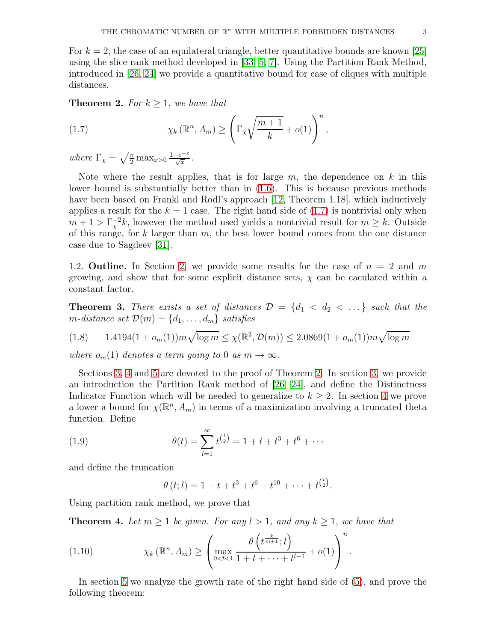For  $k = 2$ , the case of an equilateral triangle, better quantitative bounds are known [\[25\]](#page-22-13) using the slice rank method developed in [\[33,](#page-23-0) [5,](#page-21-3) [7\]](#page-21-4). Using the Partition Rank Method, introduced in [\[26,](#page-22-14) [24\]](#page-22-15) we provide a quantitative bound for case of cliques with multiple distances.

<span id="page-2-1"></span>**Theorem 2.** For  $k \geq 1$ , we have that

<span id="page-2-0"></span>(1.7) 
$$
\chi_k(\mathbb{R}^n, A_m) \geq \left(\Gamma_\chi \sqrt{\frac{m+1}{k}} + o(1)\right)^n,
$$

where  $\Gamma_{\chi} = \sqrt{\frac{\pi}{2}} \max_{x>0} \frac{1-e^{-x}}{\sqrt{x}}$  $\frac{-e^{-x}}{\sqrt{x}}$ .

Note where the result applies, that is for large  $m$ , the dependence on  $k$  in this lower bound is substantially better than in [\(1.6\)](#page-1-2). This is because previous methods have been based on Frankl and Rodl's approach [\[12,](#page-22-10) Theorem 1.18], which inductively applies a result for the  $k = 1$  case. The right hand side of  $(1.7)$  is nontrivial only when  $m+1 > \Gamma_\chi^{-2}k$ , however the method used yields a nontrivial result for  $m \geq k$ . Outside of this range, for  $k$  larger than  $m$ , the best lower bound comes from the one distance case due to Sagdeev [\[31\]](#page-22-11).

1.2. **Outline.** In Section [2,](#page-4-0) we provide some results for the case of  $n = 2$  and m growing, and show that for some explicit distance sets,  $\chi$  can be caculated within a constant factor.

**Theorem 3.** There exists a set of distances  $\mathcal{D} = \{d_1 < d_2 < \ldots\}$  such that the m-distance set  $\mathcal{D}(m) = \{d_1, \ldots, d_m\}$  satisfies

<span id="page-2-4"></span>
$$
(1.8) \qquad 1.4194(1 + o_m(1))m\sqrt{\log m} \le \chi(\mathbb{R}^2, \mathcal{D}(m)) \le 2.0869(1 + o_m(1))m\sqrt{\log m}
$$

where  $o_m(1)$  denotes a term going to 0 as  $m \to \infty$ .

Sections [3,](#page-6-0) [4](#page-9-0) and [5](#page-14-0) are devoted to the proof of Theorem [2.](#page-2-1) In section [3,](#page-6-0) we provide an introduction the Partition Rank method of [\[26,](#page-22-14) [24\]](#page-22-15), and define the Distinctness Indicator Function which will be needed to generalize to  $k \geq 2$ . In section [4](#page-9-0) we prove a lower a bound for  $\chi(\mathbb{R}^n, A_m)$  in terms of a maximization involving a truncated theta function. Define

(1.9) 
$$
\theta(t) = \sum_{l=1}^{\infty} t^{\binom{l}{2}} = 1 + t + t^3 + t^6 + \cdots
$$

and define the truncation

<span id="page-2-3"></span> $\theta(t; l) = 1 + t + t^3 + t^6 + t^{10} + \cdots + t^{\binom{l}{2}}.$ 

Using partition rank method, we prove that

<span id="page-2-2"></span>**Theorem 4.** Let  $m \geq 1$  be given. For any  $l > 1$ , and any  $k \geq 1$ , we have that

(1.10) 
$$
\chi_k(\mathbb{R}^n, A_m) \geq \left( \max_{0 < t < 1} \frac{\theta\left(t^{\frac{k}{m+1}}; l\right)}{1 + t + \dots + t^{l-1}} + o(1) \right)^n.
$$

In section [5](#page-14-0) we analyze the growth rate of the right hand side of [\(5\)](#page-3-0), and prove the following theorem: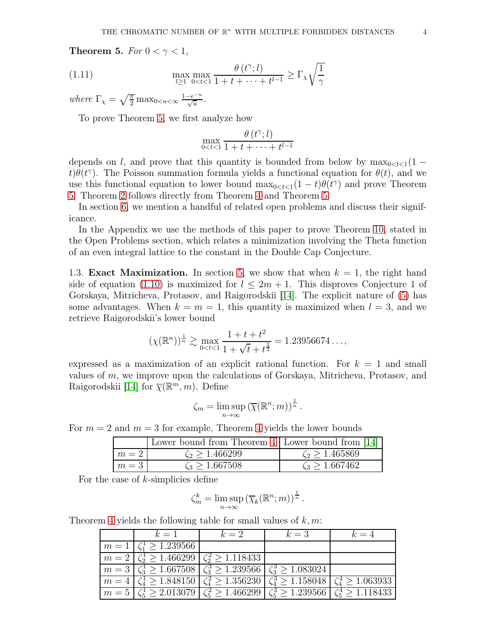<span id="page-3-0"></span>**Theorem 5.** For  $0 < \gamma < 1$ ,

(1.11) 
$$
\max_{l \ge 1} \max_{0 < t < 1} \frac{\theta(t^{\gamma}; l)}{1 + t + \dots + t^{l-1}} \ge \Gamma_{\chi} \sqrt{\frac{1}{\gamma}}
$$

where  $\Gamma_{\chi} = \sqrt{\frac{\pi}{2}} \max_{0 \le u \le \infty} \frac{1 - e^{-u}}{\sqrt{u}}$  $\frac{-e^{-u}}{\sqrt{u}}$ .

To prove Theorem [5,](#page-3-0) we first analyze how

$$
\max_{0 < t < 1} \frac{\theta(t^{\gamma}; l)}{1 + t + \dots + t^{l-1}}
$$

depends on l, and prove that this quantity is bounded from below by  $\max_{0 \leq t \leq 1} (1$  $t\theta(t^{\gamma})$ . The Poisson summation formula yields a functional equation for  $\theta(t)$ , and we use this functional equation to lower bound  $\max_{0 \le t \le 1} (1-t)\theta(t^{\gamma})$  and prove Theorem [5.](#page-3-0) Theorem [2](#page-2-1) follows directly from Theorem [4](#page-2-2) and Theorem [5.](#page-3-0)

In section [6,](#page-17-0) we mention a handful of related open problems and discuss their significance.

In the Appendix we use the methods of this paper to prove Theorem [10,](#page-18-0) stated in the Open Problems section, which relates a minimization involving the Theta function of an even integral lattice to the constant in the Double Cap Conjecture.

1.3. **Exact Maximization.** In section [5,](#page-14-0) we show that when  $k = 1$ , the right hand side of equation [\(1.10\)](#page-2-3) is maximized for  $l \leq 2m+1$ . This disproves Conjecture 1 of Gorskaya, Mitricheva, Protasov, and Raigorodskii [\[14\]](#page-22-16). The explicit nature of [\(5\)](#page-3-0) has some advantages. When  $k = m = 1$ , this quantity is maximized when  $l = 3$ , and we retrieve Raigorodskii's lower bound

$$
(\chi(\mathbb{R}^n))^{\frac{1}{n}} \gtrsim \max_{0 < t < 1} \frac{1 + t + t^2}{1 + \sqrt{t} + t^{\frac{3}{2}}} = 1.23956674\ldots,
$$

expressed as a maximization of an explicit rational function. For  $k = 1$  and small values of  $m$ , we improve upon the calculations of Gorskaya, Mitricheva, Protasov, and Raigorodskii [\[14\]](#page-22-16) for  $\overline{\chi}(\mathbb{R}^m, m)$ . Define

$$
\zeta_m = \limsup_{n \to \infty} (\overline{\chi}(\mathbb{R}^n; m))^{\frac{1}{n}}.
$$

For  $m = 2$  and  $m = 3$  for example, Theorem [4](#page-2-2) yields the lower bounds

|       | Lower bound from Theorem 4   Lower bound from [14] |                      |
|-------|----------------------------------------------------|----------------------|
| $m=2$ | $\zeta_2 > 1.466299$                               | $\zeta_2 > 1.465869$ |
| $m=3$ | $\zeta_3 > 1.667508$                               | $\zeta_3 > 1.667462$ |

For the case of  $k$ -simplicies define

$$
\zeta_m^k = \limsup_{n \to \infty} (\overline{\chi}_k(\mathbb{R}^n; m))^{\frac{1}{n}}.
$$

Theorem [4](#page-2-2) yields the following table for small values of  $k, m$ :

| $k=1$                                                                               | $k=2$                                                                                                                                                                            | $k=3$ | $k=4$ |
|-------------------------------------------------------------------------------------|----------------------------------------------------------------------------------------------------------------------------------------------------------------------------------|-------|-------|
| $m = 1 \le \zeta_1^1 \ge 1.239566$                                                  |                                                                                                                                                                                  |       |       |
| $m = 2 \left( \zeta_2^1 \ge 1.466299 \right) \left( \zeta_2^2 \ge 1.118433 \right)$ |                                                                                                                                                                                  |       |       |
|                                                                                     | $\left\lfloor m=3\right\rfloor \zeta_3^1 \ge 1.667508 \left\lfloor \zeta_3^3 \ge 1.239566 \right\rfloor \zeta_3^3 \ge 1.083024$                                                  |       |       |
|                                                                                     | $\left\lceil m=4 \right\rceil \zeta_4^1 \geq 1.848150 \left\lceil \zeta_4^2 \geq 1.356230 \right\rceil \zeta_4^3 \geq 1.158048 \left\lceil \zeta_4^4 \geq 1.063933 \right\rceil$ |       |       |
|                                                                                     | $m = 5 \left  \zeta_5^1 \ge 2.013079 \right  \zeta_5^2 \ge 1.466299 \left  \zeta_5^3 \ge 1.239566 \right  \zeta_5^4 \ge 1.118433$                                                |       |       |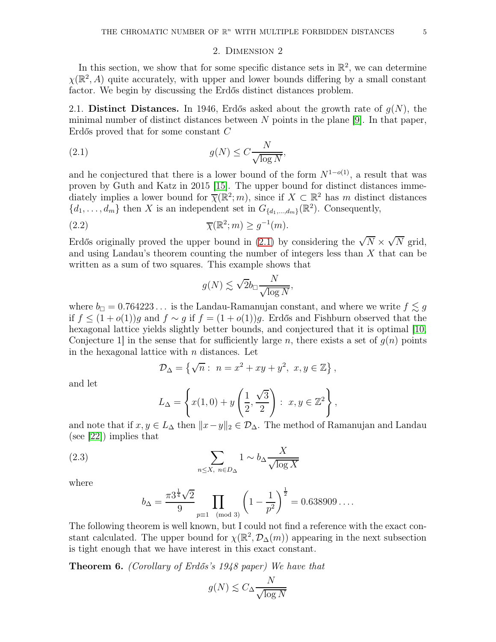#### <span id="page-4-1"></span>2. Dimension 2

<span id="page-4-0"></span>In this section, we show that for some specific distance sets in  $\mathbb{R}^2$ , we can determine  $\chi(\mathbb{R}^2, A)$  quite accurately, with upper and lower bounds differing by a small constant factor. We begin by discussing the Erdős distinct distances problem.

2.1. Distinct Distances. In 1946, Erdős asked about the growth rate of  $g(N)$ , the minimal number of distinct distances between  $N$  points in the plane [\[9\]](#page-22-17). In that paper, Erdős proved that for some constant C

(2.1) 
$$
g(N) \le C \frac{N}{\sqrt{\log N}},
$$

and he conjectured that there is a lower bound of the form  $N^{1-o(1)}$ , a result that was proven by Guth and Katz in 2015 [\[15\]](#page-22-18). The upper bound for distinct distances immediately implies a lower bound for  $\overline{\chi}(\mathbb{R}^2; m)$ , since if  $X \subset \mathbb{R}^2$  has m distinct distances  $\{d_1, \ldots, d_m\}$  then X is an independent set in  $G_{\{d_1, \ldots, d_m\}}(\mathbb{R}^2)$ . Consequently,

(2.2) 
$$
\overline{\chi}(\mathbb{R}^2; m) \ge g^{-1}(m).
$$

Erdős originally proved the upper bound in [\(2.1\)](#page-4-1) by considering the  $\sqrt{N} \times \sqrt{N}$  grid, and using Landau's theorem counting the number of integers less than  $X$  that can be written as a sum of two squares. This example shows that

<span id="page-4-2"></span>
$$
g(N) \lesssim \sqrt{2}b_{\square} \frac{N}{\sqrt{\log N}},
$$

where  $b_{\Box} = 0.764223...$  is the Landau-Ramanujan constant, and where we write  $f \lesssim g$ if  $f \leq (1+o(1))g$  and  $f \sim g$  if  $f = (1+o(1))g$ . Erdős and Fishburn observed that the hexagonal lattice yields slightly better bounds, and conjectured that it is optimal [\[10,](#page-22-19) Conjecture 1 in the sense that for sufficiently large n, there exists a set of  $q(n)$  points in the hexagonal lattice with  $n$  distances. Let

$$
\mathcal{D}_{\Delta} = \left\{ \sqrt{n} : n = x^2 + xy + y^2, x, y \in \mathbb{Z} \right\},\
$$

and let

$$
L_{\Delta} = \left\{ x(1,0) + y\left(\frac{1}{2}, \frac{\sqrt{3}}{2}\right) : x, y \in \mathbb{Z}^2 \right\},\
$$

and note that if  $x, y \in L_{\Delta}$  then  $||x-y||_2 \in \mathcal{D}_{\Delta}$ . The method of Ramanujan and Landau (see [\[22\]](#page-22-20)) implies that

(2.3) 
$$
\sum_{n \le X, n \in D_{\Delta}} 1 \sim b_{\Delta} \frac{X}{\sqrt{\log X}}
$$

where

<span id="page-4-4"></span>
$$
b_{\Delta} = \frac{\pi 3^{\frac{1}{4}} \sqrt{2}}{9} \prod_{p \equiv 1 \pmod{3}} \left( 1 - \frac{1}{p^2} \right)^{\frac{1}{2}} = 0.638909 \dots
$$

The following theorem is well known, but I could not find a reference with the exact constant calculated. The upper bound for  $\chi(\mathbb{R}^2, \mathcal{D}_\Delta(m))$  appearing in the next subsection is tight enough that we have interest in this exact constant.

<span id="page-4-3"></span>Theorem 6. (Corollary of Erdős's 1948 paper) We have that

$$
g(N) \lesssim C_{\Delta} \frac{N}{\sqrt{\log N}}
$$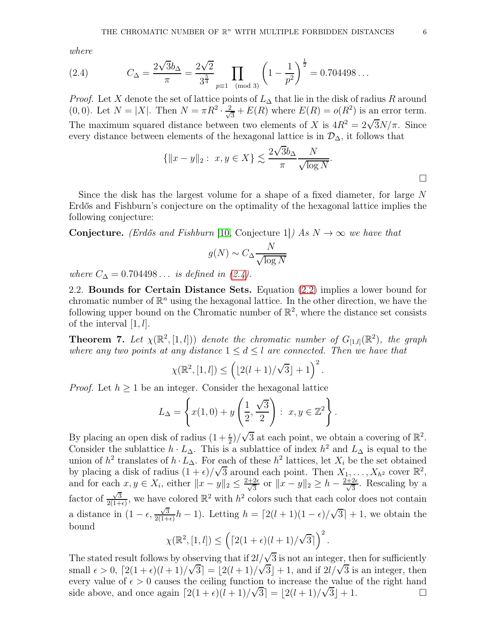where

<span id="page-5-0"></span>(2.4) 
$$
C_{\Delta} = \frac{2\sqrt{3}b_{\Delta}}{\pi} = \frac{2\sqrt{2}}{3^{\frac{5}{4}}} \prod_{p \equiv 1 \pmod{3}} \left(1 - \frac{1}{p^2}\right)^{\frac{1}{2}} = 0.704498...
$$

*Proof.* Let X denote the set of lattice points of  $L_{\Delta}$  that lie in the disk of radius R around (0,0). Let  $N = |X|$ . Then  $N = \pi R^2 \cdot \frac{2}{\sqrt{2}}$  $\frac{1}{3} + E(R)$  where  $E(R) = o(R^2)$  is an error term. The maximum squared distance between two elements of X is  $4R^2 = 2\sqrt{3}N/\pi$ . Since every distance between elements of the hexagonal lattice is in  $\mathcal{D}_{\Delta}$ , it follows that

$$
\{||x - y||_2 : x, y \in X\} \lesssim \frac{2\sqrt{3}b_{\Delta}}{\pi} \frac{N}{\sqrt{\log N}}.
$$

Since the disk has the largest volume for a shape of a fixed diameter, for large N Erdős and Fishburn's conjecture on the optimality of the hexagonal lattice implies the following conjecture:

**Conjecture.** (Erdős and Fishburn [\[10,](#page-22-19) Conjecture 1]) As  $N \to \infty$  we have that

$$
g(N) \sim C_{\Delta} \frac{N}{\sqrt{\log N}}
$$

where  $C_{\Delta} = 0.704498...$  is defined in [\(2.4\)](#page-5-0).

2.2. Bounds for Certain Distance Sets. Equation [\(2.2\)](#page-4-2) implies a lower bound for chromatic number of  $\mathbb{R}^n$  using the hexagonal lattice. In the other direction, we have the following upper bound on the Chromatic number of  $\mathbb{R}^2$ , where the distance set consists of the interval  $[1, l]$ .

<span id="page-5-1"></span>**Theorem 7.** Let  $\chi(\mathbb{R}^2, [1, l])$  denote the chromatic number of  $G_{[1, l]}(\mathbb{R}^2)$ , the graph where any two points at any distance  $1 \leq d \leq l$  are connected. Then we have that

$$
\chi(\mathbb{R}^2, [1, l]) \le \left( \lfloor 2(l+1)/\sqrt{3} \rfloor + 1 \right)^2.
$$

*Proof.* Let  $h \geq 1$  be an integer. Consider the hexagonal lattice

$$
L_{\Delta} = \left\{ x(1,0) + y\left(\frac{1}{2}, \frac{\sqrt{3}}{2}\right) : x, y \in \mathbb{Z}^2 \right\}.
$$

By placing an open disk of radius  $(1+\frac{\epsilon}{2})/\sqrt{3}$  at each point, we obtain a covering of  $\mathbb{R}^2$ . Consider the sublattice  $h \cdot L_{\Delta}$ . This is a sublattice of index  $h^2$  and  $L_{\Delta}$  is equal to the union of  $h^2$  translates of  $h \cdot L_{\Delta}$ . For each of these  $h^2$  lattices, let  $X_i$  be the set obtained by placing a disk of radius  $(1 + \epsilon)/\sqrt{3}$  around each point. Then  $X_1, \ldots, X_{h^2}$  cover  $\mathbb{R}^2$ , and for each  $x, y \in X_i$ , either  $||x - y||_2 \le \frac{2+2\epsilon}{\sqrt{3}}$  or  $||x - y||_2 \ge h - \frac{2+2\epsilon}{\sqrt{3}}$ . Rescaling by a factor of  $\frac{\sqrt{3}}{2(1+1)}$  $\frac{\sqrt{3}}{2(1+\epsilon)}$ , we have colored  $\mathbb{R}^2$  with  $h^2$  colors such that each color does not contain a distance in  $(1 - \epsilon, \frac{\sqrt{3}}{2(1 + \epsilon)})$  $\frac{\sqrt{3}}{2(1+\epsilon)}h-1$ ). Letting  $h = \left[\frac{2(l+1)(1-\epsilon)}{\sqrt{3}}\right] + 1$ , we obtain the bound

$$
\chi(\mathbb{R}^2,[1,l]) \leq \left( \left\lceil 2(1+\epsilon)(l+1)/\sqrt{3} \right\rceil \right)^2.
$$

The stated result follows by observing that if  $2l/\sqrt{3}$  is not an integer, then for sufficiently small  $\epsilon > 0$ ,  $\left[2(1+\epsilon)(l+1)/\sqrt{3}\right] = \left[2(l+1)/\sqrt{3}\right] + 1$ , and if  $2l/\sqrt{3}$  is an integer, then every value of  $\epsilon > 0$  causes the ceiling function to increase the value of the right hand side above, and once again  $\lceil 2(1+\epsilon)(l+1)/\sqrt{3}\rceil = \lfloor 2(l+1)/\sqrt{3}\rfloor + 1$ .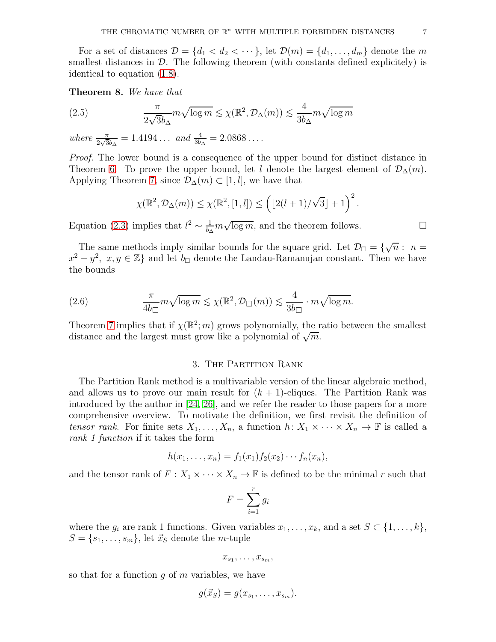For a set of distances  $\mathcal{D} = \{d_1 < d_2 < \cdots\}$ , let  $\mathcal{D}(m) = \{d_1, \ldots, d_m\}$  denote the m smallest distances in  $\mathcal{D}$ . The following theorem (with constants defined explicitely) is identical to equation [\(1.8\)](#page-2-4).

Theorem 8. We have that

(2.5) 
$$
\frac{\pi}{2\sqrt{3}b_{\Delta}} m \sqrt{\log m} \lesssim \chi(\mathbb{R}^2, \mathcal{D}_{\Delta}(m)) \lesssim \frac{4}{3b_{\Delta}} m \sqrt{\log m}
$$

where  $\frac{\pi}{2\sqrt{3}b_{\Delta}} = 1.4194...$  and  $\frac{4}{3b_{\Delta}} = 2.0868...$ 

Proof. The lower bound is a consequence of the upper bound for distinct distance in Theorem [6.](#page-4-3) To prove the upper bound, let l denote the largest element of  $\mathcal{D}_{\Delta}(m)$ . Applying Theorem [7,](#page-5-1) since  $\mathcal{D}_{\Delta}(m) \subset [1, l]$ , we have that

$$
\chi(\mathbb{R}^2, \mathcal{D}_{\Delta}(m)) \leq \chi(\mathbb{R}^2, [1, l]) \leq \left( \lfloor 2(l+1)/\sqrt{3} \rfloor + 1 \right)^2.
$$

Equation [\(2.3\)](#page-4-4) implies that  $l^2 \sim \frac{1}{b_2}$  $\frac{1}{b_{\Delta}}m\sqrt{\log m}$ , and the theorem follows.  $\Box$ 

The same methods imply similar bounds for the square grid. Let  $\mathcal{D}_{\Box} = \{\sqrt{n} : n =$  $x^2 + y^2$ ,  $x, y \in \mathbb{Z}$  and let  $b_{\Box}$  denote the Landau-Ramanujan constant. Then we have the bounds

(2.6) 
$$
\frac{\pi}{4b_{\square}} m \sqrt{\log m} \lesssim \chi(\mathbb{R}^2, \mathcal{D}_{\square}(m)) \lesssim \frac{4}{3b_{\square}} \cdot m \sqrt{\log m}.
$$

Theorem [7](#page-5-1) implies that if  $\chi(\mathbb{R}^2; m)$  grows polynomially, the ratio between the smallest distance and the largest must grow like a polynomial of  $\sqrt{m}$ .

### 3. The Partition Rank

<span id="page-6-0"></span>The Partition Rank method is a multivariable version of the linear algebraic method, and allows us to prove our main result for  $(k + 1)$ -cliques. The Partition Rank was introduced by the author in [\[24,](#page-22-15) [26\]](#page-22-14), and we refer the reader to those papers for a more comprehensive overview. To motivate the definition, we first revisit the definition of tensor rank. For finite sets  $X_1, \ldots, X_n$ , a function  $h: X_1 \times \cdots \times X_n \to \mathbb{F}$  is called a rank 1 function if it takes the form

$$
h(x_1,\ldots,x_n)=f_1(x_1)f_2(x_2)\cdots f_n(x_n),
$$

and the tensor rank of  $F: X_1 \times \cdots \times X_n \to \mathbb{F}$  is defined to be the minimal r such that

$$
F = \sum_{i=1}^{r} g_i
$$

where the  $g_i$  are rank 1 functions. Given variables  $x_1, \ldots, x_k$ , and a set  $S \subset \{1, \ldots, k\}$ ,  $S = \{s_1, \ldots, s_m\}$ , let  $\vec{x}_S$  denote the *m*-tuple

$$
x_{s_1},\ldots,x_{s_m},
$$

so that for a function  $q$  of  $m$  variables, we have

$$
g(\vec{x}_S) = g(x_{s_1}, \ldots, x_{s_m}).
$$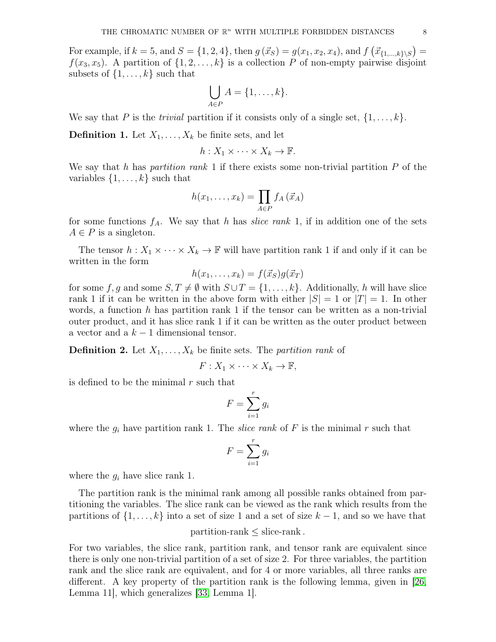For example, if  $k = 5$ , and  $S = \{1, 2, 4\}$ , then  $g(\vec{x}_S) = g(x_1, x_2, x_4)$ , and  $f(\vec{x}_{\{1,\dots,k\}\setminus S}) =$  $f(x_3, x_5)$ . A partition of  $\{1, 2, ..., k\}$  is a collection P of non-empty pairwise disjoint subsets of  $\{1, \ldots, k\}$  such that

$$
\bigcup_{A \in P} A = \{1, \ldots, k\}.
$$

We say that P is the *trivial* partition if it consists only of a single set,  $\{1, \ldots, k\}$ .

**Definition 1.** Let  $X_1, \ldots, X_k$  be finite sets, and let

$$
h: X_1 \times \cdots \times X_k \to \mathbb{F}.
$$

We say that h has partition rank 1 if there exists some non-trivial partition  $P$  of the variables  $\{1, \ldots, k\}$  such that

$$
h(x_1,\ldots,x_k)=\prod_{A\in P}f_A\left(\vec{x}_A\right)
$$

for some functions  $f_A$ . We say that h has *slice rank* 1, if in addition one of the sets  $A \in P$  is a singleton.

The tensor  $h: X_1 \times \cdots \times X_k \to \mathbb{F}$  will have partition rank 1 if and only if it can be written in the form

$$
h(x_1,\ldots,x_k)=f(\vec{x}_S)g(\vec{x}_T)
$$

for some f, g and some  $S, T \neq \emptyset$  with  $S \cup T = \{1, ..., k\}$ . Additionally, h will have slice rank 1 if it can be written in the above form with either  $|S| = 1$  or  $|T| = 1$ . In other words, a function h has partition rank 1 if the tensor can be written as a non-trivial outer product, and it has slice rank 1 if it can be written as the outer product between a vector and a  $k-1$  dimensional tensor.

**Definition 2.** Let  $X_1, \ldots, X_k$  be finite sets. The *partition rank* of

$$
F: X_1 \times \cdots \times X_k \to \mathbb{F},
$$

is defined to be the minimal  $r$  such that

$$
F = \sum_{i=1}^{r} g_i
$$

where the  $g_i$  have partition rank 1. The *slice rank* of F is the minimal r such that

$$
F = \sum_{i=1}^{r} g_i
$$

where the  $g_i$  have slice rank 1.

The partition rank is the minimal rank among all possible ranks obtained from partitioning the variables. The slice rank can be viewed as the rank which results from the partitions of  $\{1, \ldots, k\}$  into a set of size 1 and a set of size  $k-1$ , and so we have that

# $partition-rank \leq slice-rank$ .

For two variables, the slice rank, partition rank, and tensor rank are equivalent since there is only one non-trivial partition of a set of size 2. For three variables, the partition rank and the slice rank are equivalent, and for 4 or more variables, all three ranks are different. A key property of the partition rank is the following lemma, given in [\[26,](#page-22-14) Lemma 11], which generalizes [\[33,](#page-23-0) Lemma 1].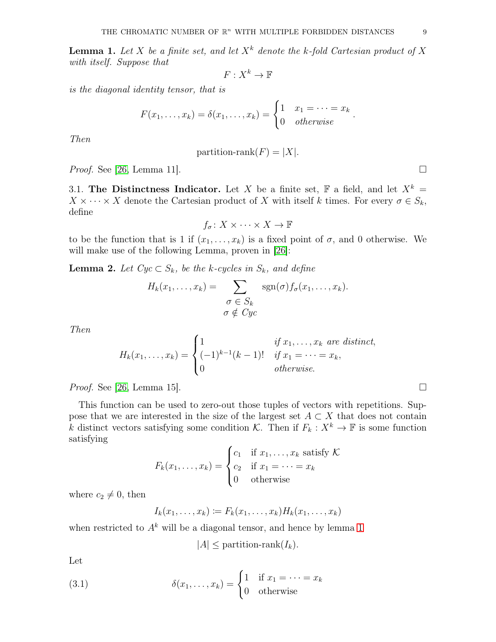<span id="page-8-0"></span>**Lemma 1.** Let X be a finite set, and let  $X^k$  denote the k-fold Cartesian product of X with itself. Suppose that

 $F:X^k\to\mathbb{F}$ 

is the diagonal identity tensor, that is

$$
F(x_1,\ldots,x_k)=\delta(x_1,\ldots,x_k)=\begin{cases}1 & x_1=\cdots=x_k\\0 & otherwise\end{cases}.
$$

Then

partition-rank
$$
(F) = |X|
$$
.

*Proof.* See [\[26,](#page-22-14) Lemma 11].

3.1. The Distinctness Indicator. Let X be a finite set, F a field, and let  $X^k =$  $X \times \cdots \times X$  denote the Cartesian product of X with itself k times. For every  $\sigma \in S_k$ , define

$$
f_{\sigma} \colon X \times \cdots \times X \to \mathbb{F}
$$

to be the function that is 1 if  $(x_1, \ldots, x_k)$  is a fixed point of  $\sigma$ , and 0 otherwise. We will make use of the following Lemma, proven in [\[26\]](#page-22-14):

<span id="page-8-1"></span>**Lemma 2.** Let  $Cyc \subset S_k$ , be the k-cycles in  $S_k$ , and define

$$
H_k(x_1,\ldots,x_k) = \sum_{\substack{\sigma \in S_k \\ \sigma \notin Cyc}} \operatorname{sgn}(\sigma) f_{\sigma}(x_1,\ldots,x_k).
$$

Then

$$
H_k(x_1,\ldots,x_k) = \begin{cases} 1 & \text{if } x_1,\ldots,x_k \text{ are distinct,} \\ (-1)^{k-1}(k-1)! & \text{if } x_1 = \cdots = x_k, \\ 0 & \text{otherwise.} \end{cases}
$$

*Proof.* See [\[26,](#page-22-14) Lemma 15].

This function can be used to zero-out those tuples of vectors with repetitions. Suppose that we are interested in the size of the largest set  $A \subset X$  that does not contain k distinct vectors satisfying some condition K. Then if  $F_k : X^k \to \mathbb{F}$  is some function satisfying

$$
F_k(x_1,\ldots,x_k) = \begin{cases} c_1 & \text{if } x_1,\ldots,x_k \text{ satisfy } \mathcal{K} \\ c_2 & \text{if } x_1 = \cdots = x_k \\ 0 & \text{otherwise} \end{cases}
$$

where  $c_2 \neq 0$ , then

$$
I_k(x_1,\ldots,x_k) := F_k(x_1,\ldots,x_k)H_k(x_1,\ldots,x_k)
$$

when restricted to  $A^k$  will be a diagonal tensor, and hence by lemma [1](#page-8-0)

$$
|A| \leq \text{partition-rank}(I_k).
$$

Let

(3.1) 
$$
\delta(x_1, \dots, x_k) = \begin{cases} 1 & \text{if } x_1 = \dots = x_k \\ 0 & \text{otherwise} \end{cases}
$$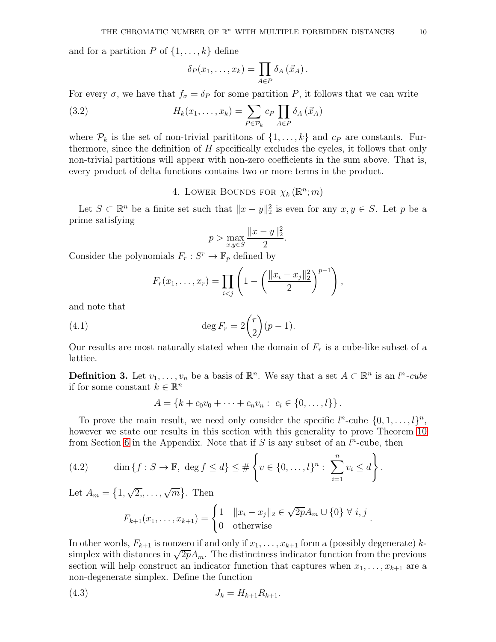and for a partition  $P$  of  $\{1, \ldots, k\}$  define

<span id="page-9-1"></span>
$$
\delta_P(x_1,\ldots,x_k)=\prod_{A\in P}\delta_A(\vec{x}_A).
$$

For every  $\sigma$ , we have that  $f_{\sigma} = \delta_P$  for some partition P, it follows that we can write

(3.2) 
$$
H_k(x_1,\ldots,x_k) = \sum_{P \in \mathcal{P}_k} c_P \prod_{A \in P} \delta_A(\vec{x}_A)
$$

where  $\mathcal{P}_k$  is the set of non-trivial parititions of  $\{1,\ldots,k\}$  and  $c_P$  are constants. Furthermore, since the definition of H specifically excludes the cycles, it follows that only non-trivial partitions will appear with non-zero coefficients in the sum above. That is, every product of delta functions contains two or more terms in the product.

4. LOWER BOUNDS FOR  $\chi_k(\mathbb{R}^n;m)$ 

<span id="page-9-0"></span>Let  $S \subset \mathbb{R}^n$  be a finite set such that  $||x - y||_2^2$  is even for any  $x, y \in S$ . Let p be a prime satisfying

$$
p > \max_{x,y \in S} \frac{\|x - y\|_2^2}{2}.
$$

Consider the polynomials  $F_r : S^r \to \mathbb{F}_p$  defined by

$$
F_r(x_1,\ldots,x_r) = \prod_{i < j} \left( 1 - \left( \frac{\|x_i - x_j\|_2^2}{2} \right)^{p-1} \right),
$$

and note that

(4.1) 
$$
\deg F_r = 2 \binom{r}{2} (p-1).
$$

Our results are most naturally stated when the domain of  $F_r$  is a cube-like subset of a lattice.

**Definition 3.** Let  $v_1, \ldots, v_n$  be a basis of  $\mathbb{R}^n$ . We say that a set  $A \subset \mathbb{R}^n$  is an  $l^n$ -cube if for some constant  $k \in \mathbb{R}^n$ 

$$
A = \{k + c_0v_0 + \cdots + c_nv_n : c_i \in \{0, \ldots, l\}\}.
$$

To prove the main result, we need only consider the specific  $l^n$ -cube  $\{0, 1, \ldots, l\}^n$ , however we state our results in this section with this generality to prove Theorem [10](#page-18-0) from Section [6](#page-17-0) in the Appendix. Note that if  $S$  is any subset of an  $l^n$ -cube, then

(4.2) 
$$
\dim \{f : S \to \mathbb{F}, \deg f \le d\} \le \# \left\{ v \in \{0, ..., l\}^n : \sum_{i=1}^n v_i \le d \right\}.
$$

Let  $A_m = \{1, \sqrt{2}, \ldots, \sqrt{m}\}.$  Then

<span id="page-9-3"></span><span id="page-9-2"></span>
$$
F_{k+1}(x_1, ..., x_{k+1}) = \begin{cases} 1 & \|x_i - x_j\|_2 \in \sqrt{2p}A_m \cup \{0\} \ \forall \ i, j \\ 0 & \text{otherwise} \end{cases}
$$

.

In other words,  $F_{k+1}$  is nonzero if and only if  $x_1, \ldots, x_{k+1}$  form a (possibly degenerate) ksimplex with distances in  $\sqrt{2p}A_m$ . The distinctness indicator function from the previous section will help construct an indicator function that captures when  $x_1, \ldots, x_{k+1}$  are a non-degenerate simplex. Define the function

(4.3) 
$$
J_k = H_{k+1} R_{k+1}.
$$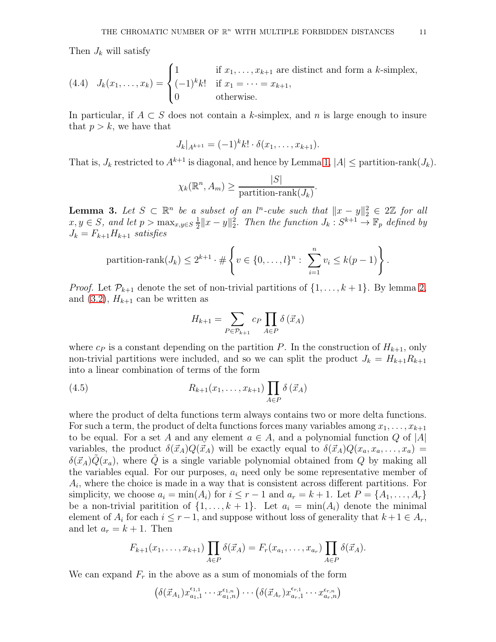Then  $J_k$  will satisfy

(4.4) 
$$
J_k(x_1,\ldots,x_k) = \begin{cases} 1 & \text{if } x_1,\ldots,x_{k+1} \text{ are distinct and form a } k\text{-simplex,} \\ (-1)^k k! & \text{if } x_1 = \cdots = x_{k+1}, \\ 0 & \text{otherwise.} \end{cases}
$$

In particular, if  $A \subset S$  does not contain a k-simplex, and n is large enough to insure that  $p > k$ , we have that

$$
J_k|_{A^{k+1}} = (-1)^k k! \cdot \delta(x_1,\ldots,x_{k+1}).
$$

That is,  $J_k$  restricted to  $A^{k+1}$  is diagonal, and hence by Lemma [1,](#page-8-0)  $|A| \leq$  partition-rank $(J_k)$ .

$$
\chi_k(\mathbb{R}^n, A_m) \ge \frac{|S|}{\text{partition-rank}(J_k)}.
$$

<span id="page-10-0"></span>**Lemma 3.** Let  $S \subset \mathbb{R}^n$  be a subset of an l<sup>n</sup>-cube such that  $||x - y||_2^2 \in 2\mathbb{Z}$  for all  $x, y \in S$ , and let  $p > \max_{x,y \in S} \frac{1}{2}$  $\frac{1}{2}||x-y||_2^2$ . Then the function  $J_k : S^{k+1} \to \mathbb{F}_p$  defined by  $J_k = F_{k+1}H_{k+1}$  satisfies

partition-rank
$$
(J_k) \leq 2^{k+1} \cdot \# \left\{ v \in \{0, ..., l\}^n : \sum_{i=1}^n v_i \leq k(p-1) \right\}.
$$

*Proof.* Let  $\mathcal{P}_{k+1}$  denote the set of non-trivial partitions of  $\{1,\ldots,k+1\}$ . By lemma [2,](#page-8-1) and  $(3.2)$ ,  $H_{k+1}$  can be written as

$$
H_{k+1} = \sum_{P \in \mathcal{P}_{k+1}} c_P \prod_{A \in P} \delta(\vec{x}_A)
$$

where  $c_P$  is a constant depending on the partition P. In the construction of  $H_{k+1}$ , only non-trivial partitions were included, and so we can split the product  $J_k = H_{k+1}R_{k+1}$ into a linear combination of terms of the form

(4.5) 
$$
R_{k+1}(x_1,...,x_{k+1}) \prod_{A \in P} \delta(\vec{x}_A)
$$

where the product of delta functions term always contains two or more delta functions. For such a term, the product of delta functions forces many variables among  $x_1, \ldots, x_{k+1}$ to be equal. For a set A and any element  $a \in A$ , and a polynomial function Q of |A| variables, the product  $\delta(\vec{x}_A)Q(\vec{x}_A)$  will be exactly equal to  $\delta(\vec{x}_A)Q(x_a, x_a, \ldots, x_a)$  =  $\delta(\vec{x}_A)Q(x_a)$ , where Q is a single variable polynomial obtained from Q by making all the variables equal. For our purposes,  $a_i$  need only be some representative member of  $A_i$ , where the choice is made in a way that is consistent across different partitions. For simplicity, we choose  $a_i = \min(A_i)$  for  $i \leq r-1$  and  $a_r = k+1$ . Let  $P = \{A_1, \ldots, A_r\}$ be a non-trivial paritition of  $\{1, \ldots, k+1\}$ . Let  $a_i = \min(A_i)$  denote the minimal element of  $A_i$  for each  $i \leq r-1$ , and suppose without loss of generality that  $k+1 \in A_r$ , and let  $a_r = k + 1$ . Then

$$
F_{k+1}(x_1,\ldots,x_{k+1})\prod_{A\in P}\delta(\vec{x}_A)=F_r(x_{a_1},\ldots,x_{a_r})\prod_{A\in P}\delta(\vec{x}_A).
$$

We can expand  $F_r$  in the above as a sum of monomials of the form

$$
\left(\delta(\vec{x}_{A_1})x_{a_1,1}^{\epsilon_{1,1}}\cdots x_{a_1,n}^{\epsilon_{1,n}}\right)\cdots\left(\delta(\vec{x}_{A_r})x_{a_r,1}^{\epsilon_{r,1}}\cdots x_{a_r,n}^{\epsilon_{r,n}}\right)
$$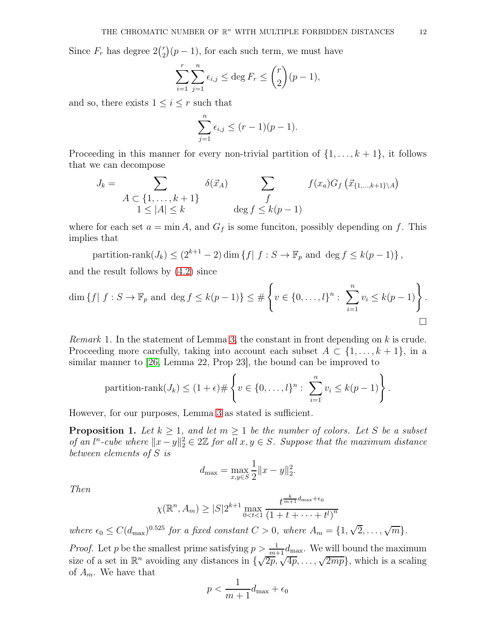Since  $F_r$  has degree  $2\binom{r}{2}$  $\binom{r}{2}(p-1)$ , for each such term, we must have

$$
\sum_{i=1}^r \sum_{j=1}^n \epsilon_{i,j} \le \deg F_r \le \binom{r}{2}(p-1),
$$

and so, there exists  $1 \leq i \leq r$  such that

$$
\sum_{j=1}^{n} \epsilon_{i,j} \le (r-1)(p-1).
$$

Proceeding in this manner for every non-trivial partition of  $\{1, \ldots, k+1\}$ , it follows that we can decompose

$$
J_k = \sum_{\begin{array}{c} A \subset \{1, \ldots, k+1\} \\ 1 \le |A| \le k \end{array}} \delta(\vec{x}_A) \sum_{\begin{array}{c} f \\ \deg f \le k(p-1) \end{array}} f(x_a) G_f\left(\vec{x}_{\{1, \ldots, k+1\} \setminus A}\right)
$$

where for each set  $a = \min A$ , and  $G_f$  is some funciton, possibly depending on f. This implies that

partition-rank
$$
(J_k) \leq (2^{k+1} - 2) \dim \{f | f : S \to \mathbb{F}_p \text{ and } \deg f \leq k(p-1)\},
$$

and the result follows by [\(4.2\)](#page-9-2) since

$$
\dim \{f \mid f : S \to \mathbb{F}_p \text{ and } \deg f \le k(p-1)\} \le \# \left\{ v \in \{0, \dots, l\}^n : \sum_{i=1}^n v_i \le k(p-1) \right\}.
$$

*Remark* 1. In the statement of Lemma [3,](#page-10-0) the constant in front depending on k is crude. Proceeding more carefully, taking into account each subset  $A \subset \{1, \ldots, k+1\}$ , in a similar manner to [\[26,](#page-22-14) Lemma 22, Prop 23], the bound can be improved to

partition-rank
$$
(J_k) \leq (1+\epsilon) \# \left\{ v \in \{0,\ldots,l\}^n : \sum_{i=1}^n v_i \leq k(p-1) \right\}.
$$

However, for our purposes, Lemma [3](#page-10-0) as stated is sufficient.

<span id="page-11-0"></span>**Proposition 1.** Let  $k \geq 1$ , and let  $m \geq 1$  be the number of colors. Let S be a subset of an  $l^n$ -cube where  $||x-y||_2^2 \in 2\mathbb{Z}$  for all  $x, y \in S$ . Suppose that the maximum distance between elements of S is

$$
d_{\max} = \max_{x,y \in S} \frac{1}{2} ||x - y||_2^2.
$$

Then

$$
\chi(\mathbb{R}^n, A_m) \ge |S| 2^{k+1} \max_{0 < t < 1} \frac{t^{\frac{k}{m+1}d_{\max} + \epsilon_0}}{\left(1 + t + \dots + t^l\right)^n}
$$

where  $\epsilon_0 \leq C(d_{\text{max}})^{0.525}$  for a fixed constant  $C > 0$ , where  $A_m = \{1, \sqrt{2}, \ldots, \sqrt{m}\}.$ 

*Proof.* Let p be the smallest prime satisfying  $p > \frac{1}{m+1} d_{\text{max}}$ . We will bound the maximum size of a set in  $\mathbb{R}^n$  avoiding any distances in  $\{\sqrt{2p}, \sqrt{4p}, \ldots, \sqrt{2mp}\},$  which is a scaling of  $A_m$ . We have that

$$
p < \frac{1}{m+1}d_{\max} + \epsilon_0
$$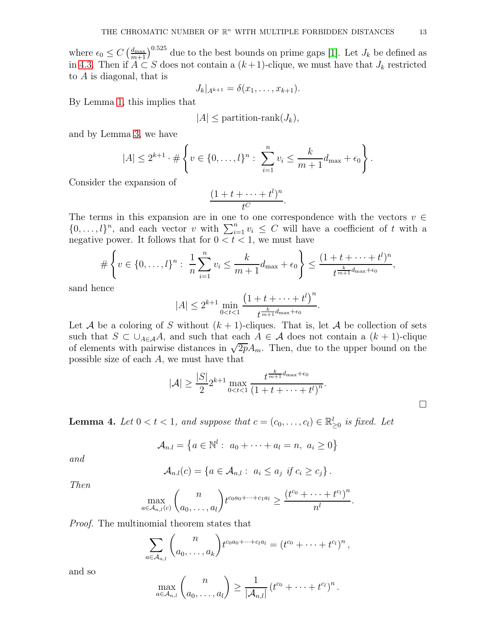where  $\epsilon_0 \leq C \left(\frac{d_{\text{max}}}{m+1}\right)^{0.525}$  due to the best bounds on prime gaps [\[1\]](#page-21-5). Let  $J_k$  be defined as in [4.3.](#page-9-3) Then if  $A \subset S$  does not contain a  $(k+1)$ -clique, we must have that  $J_k$  restricted to A is diagonal, that is

$$
J_k|_{A^{k+1}} = \delta(x_1, \ldots, x_{k+1}).
$$

By Lemma [1,](#page-8-0) this implies that

$$
|A| \leq \text{partition-rank}(J_k),
$$

and by Lemma [3,](#page-10-0) we have

$$
|A| \leq 2^{k+1} \cdot \# \left\{ v \in \{0, \ldots, l\}^n : \sum_{i=1}^n v_i \leq \frac{k}{m+1} d_{\max} + \epsilon_0 \right\}.
$$

Consider the expansion of

$$
\frac{(1+t+\cdots+t^l)^n}{t^C}.
$$

The terms in this expansion are in one to one correspondence with the vectors  $v \in$  $\{0,\ldots,l\}^n$ , and each vector v with  $\sum_{i=1}^n v_i \leq C$  will have a coefficient of t with a negative power. It follows that for  $0 < t < 1$ , we must have

$$
\#\left\{v \in \{0, \ldots, l\}^n : \frac{1}{n}\sum_{i=1}^n v_i \leq \frac{k}{m+1}d_{\max} + \epsilon_0\right\} \leq \frac{(1+t+\cdots+t^l)^n}{t^{\frac{k}{m+1}d_{\max}+\epsilon_0}},
$$

sand hence

$$
|A| \le 2^{k+1} \min_{0 < t < 1} \frac{\left(1 + t + \dots + t^l\right)^n}{t^{\frac{k}{m+1}d_{\max} + \epsilon_0}}
$$

.

.

Let A be a coloring of S without  $(k + 1)$ -cliques. That is, let A be collection of sets such that  $S \subset \bigcup_{A \in A} A$ , and such that each  $A \in \mathcal{A}$  does not contain a  $(k + 1)$ -clique of elements with pairwise distances in  $\sqrt{2p}A_m$ . Then, due to the upper bound on the possible size of each A, we must have that

$$
|\mathcal{A}| \ge \frac{|S|}{2} 2^{k+1} \max_{0 < t < 1} \frac{t^{\frac{k}{m+1}d_{\max} + \epsilon_0}}{\left(1 + t + \dots + t^l\right)^n}.
$$

<span id="page-12-0"></span>**Lemma 4.** Let  $0 < t < 1$ , and suppose that  $c = (c_0, \ldots, c_l) \in \mathbb{R}_{\geq 0}^l$  is fixed. Let

$$
\mathcal{A}_{n,l} = \left\{ a \in \mathbb{N}^l : a_0 + \cdots + a_l = n, a_i \geq 0 \right\}
$$

and

$$
\mathcal{A}_{n,l}(c) = \left\{ a \in \mathcal{A}_{n,l} : a_i \leq a_j \text{ if } c_i \geq c_j \right\}.
$$

Then

$$
\max_{a\in\mathcal{A}_{n,l}(c)}\binom{n}{a_0,\ldots,a_l}t^{c_0a_0+\cdots+c_1a_l}\geq \frac{(t^{c_0}+\cdots+t^{c_l})^n}{n^l}.
$$

Proof. The multinomial theorem states that

$$
\sum_{a\in\mathcal{A}_{n,l}}\binom{n}{a_0,\ldots,a_k}t^{c_0a_0+\cdots+c_la_l}=(t^{c_0}+\cdots+t^{c_l})^n,
$$

and so

$$
\max_{a \in \mathcal{A}_{n,l}} \binom{n}{a_0, \ldots, a_l} \ge \frac{1}{|\mathcal{A}_{n,l}|} \left(t^{c_0} + \cdots + t^{c_l}\right)^n
$$

 $\Box$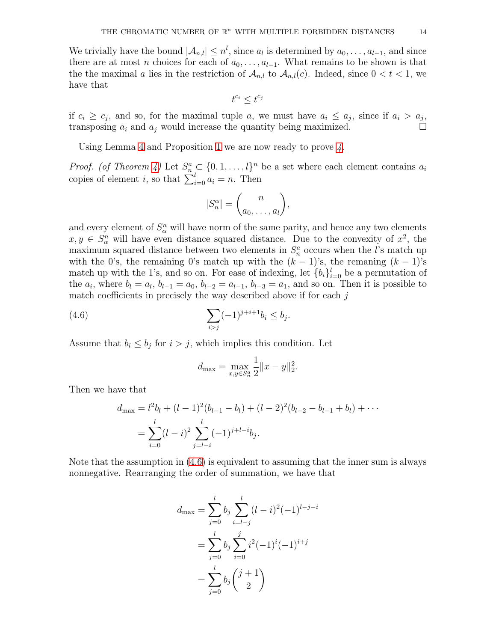We trivially have the bound  $|\mathcal{A}_{n,l}| \leq n^l$ , since  $a_l$  is determined by  $a_0, \ldots, a_{l-1}$ , and since there are at most n choices for each of  $a_0, \ldots, a_{l-1}$ . What remains to be shown is that the the maximal a lies in the restriction of  $A_{n,l}$  to  $A_{n,l}(c)$ . Indeed, since  $0 < t < 1$ , we have that

$$
t^{c_i} \leq t^{c_j}
$$

if  $c_i \geq c_j$ , and so, for the maximal tuple a, we must have  $a_i \leq a_j$ , since if  $a_i > a_j$ . transposing  $a_i$  and  $a_j$  would increase the quantity being maximized.

Using Lemma [4](#page-12-0) and Proposition [1](#page-11-0) we are now ready to prove [4.](#page-2-2)

*Proof.* (of Theorem [4\)](#page-2-2) Let  $S_n^a \text{ }\subset \{0,1,\ldots,l\}^n$  be a set where each element contains  $a_i$ copies of element *i*, so that  $\sum_{i=0}^{l} a_i = n$ . Then

$$
|S_n^{\alpha}| = \binom{n}{a_0, \dots, a_l},
$$

and every element of  $S^n_\alpha$  will have norm of the same parity, and hence any two elements  $x, y \in S^n_\alpha$  will have even distance squared distance. Due to the convexity of  $x^2$ , the maximum squared distance between two elements in  $S_n^a$  occurs when the *l*'s match up with the 0's, the remaining 0's match up with the  $(k-1)$ 's, the remaning  $(k-1)$ 's match up with the 1's, and so on. For ease of indexing, let  ${b_i}_{i=0}^l$  be a permutation of the  $a_i$ , where  $b_l = a_l$ ,  $b_{l-1} = a_0$ ,  $b_{l-2} = a_{l-1}$ ,  $b_{l-3} = a_1$ , and so on. Then it is possible to match coefficients in precisely the way described above if for each  $j$ 

(4.6) 
$$
\sum_{i > j} (-1)^{j+i+1} b_i \le b_j.
$$

Assume that  $b_i \leq b_j$  for  $i > j$ , which implies this condition. Let

<span id="page-13-0"></span>
$$
d_{\max} = \max_{x,y \in S_n^a} \frac{1}{2} ||x - y||_2^2.
$$

Then we have that

$$
d_{\max} = l^2 b_l + (l-1)^2 (b_{l-1} - b_l) + (l-2)^2 (b_{l-2} - b_{l-1} + b_l) + \cdots
$$
  
= 
$$
\sum_{i=0}^l (l-i)^2 \sum_{j=l-i}^l (-1)^{j+l-i} b_j.
$$

Note that the assumption in [\(4.6\)](#page-13-0) is equivalent to assuming that the inner sum is always nonnegative. Rearranging the order of summation, we have that

$$
d_{\max} = \sum_{j=0}^{l} b_j \sum_{i=l-j}^{l} (l-i)^2 (-1)^{l-j-i}
$$
  
= 
$$
\sum_{j=0}^{l} b_j \sum_{i=0}^{j} i^2 (-1)^i (-1)^{i+j}
$$
  
= 
$$
\sum_{j=0}^{l} b_j {j+1 \choose 2}
$$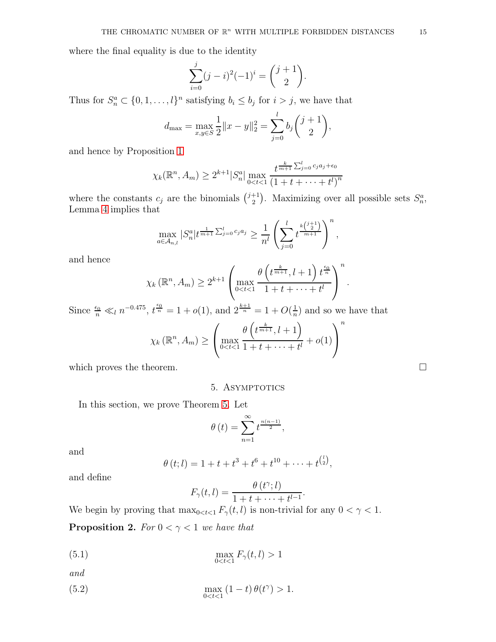where the final equality is due to the identity

$$
\sum_{i=0}^{j} (j-i)^2 (-1)^i = {j+1 \choose 2}.
$$

Thus for  $S_n^a \subset \{0, 1, \ldots, l\}^n$  satisfying  $b_i \leq b_j$  for  $i > j$ , we have that

$$
d_{\max} = \max_{x,y \in S} \frac{1}{2} ||x - y||_2^2 = \sum_{j=0}^l b_j {j+1 \choose 2},
$$

and hence by Proposition [1](#page-11-0)

$$
\chi_k(\mathbb{R}^n, A_m) \ge 2^{k+1} |S_n^a| \max_{0 < t < 1} \frac{t^{\frac{k}{m+1} \sum_{j=0}^l c_j a_j + \epsilon_0}}{\left(1 + t + \dots + t^l\right)^n}
$$

where the constants  $c_j$  are the binomials  $\binom{j+1}{2}$ <sup>+1</sup>). Maximizing over all possible sets  $S_n^a$ , Lemma [4](#page-12-0) implies that

$$
\max_{a \in \mathcal{A}_{n,l}} |S_n^a| t^{\frac{1}{m+1} \sum_{j=0}^l c_j a_j} \geq \frac{1}{n^l} \left( \sum_{j=0}^l t^{\frac{k \binom{j+1}{2}}{m+1}} \right)^n,
$$

and hence

$$
\chi_k(\mathbb{R}^n, A_m) \geq 2^{k+1} \left( \max_{0 < t < 1} \frac{\theta\left(t^{\frac{k}{m+1}}, l+1\right) t^{\frac{\epsilon_0}{n}}}{1+t+\cdots+t^l} \right)^n.
$$

Since  $\frac{\epsilon_0}{n} \ll_l n^{-0.475}$ ,  $t^{\frac{\epsilon_0}{n}} = 1 + o(1)$ , and  $2^{\frac{k+1}{n}} = 1 + O(\frac{1}{n})$  $\frac{1}{n}$ ) and so we have that n

$$
\chi_k(\mathbb{R}^n, A_m) \ge \left( \max_{0 < t < 1} \frac{\theta\left(t^{\frac{k}{m+1}}, l+1\right)}{1+t+\cdots+t^l} + o(1) \right)^n
$$

<span id="page-14-0"></span>which proves the theorem.  $\Box$ 

# 5. ASYMPTOTICS

In this section, we prove Theorem [5.](#page-3-0) Let

$$
\theta(t) = \sum_{n=1}^{\infty} t^{\frac{n(n-1)}{2}},
$$

and

$$
\theta(t; l) = 1 + t + t^{3} + t^{6} + t^{10} + \cdots + t^{\binom{l}{2}},
$$

and define

<span id="page-14-2"></span><span id="page-14-1"></span>
$$
F_{\gamma}(t, l) = \frac{\theta(t^{\gamma}; l)}{1 + t + \dots + t^{l-1}}.
$$

We begin by proving that  $\max_{0 \le t \le 1} F_{\gamma}(t, l)$  is non-trivial for any  $0 < \gamma < 1$ . **Proposition 2.** For  $0 < \gamma < 1$  we have that

$$
\max_{0 < t < 1} F_{\gamma}(t, l) > 1
$$

and

(5.2) 
$$
\max_{0 < t < 1} (1 - t) \theta(t^{\gamma}) > 1.
$$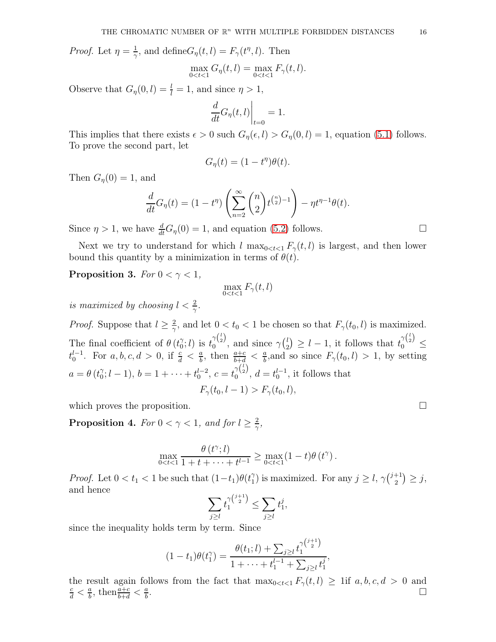*Proof.* Let  $\eta = \frac{1}{\gamma}$  $\frac{1}{\gamma}$ , and define  $G_{\eta}(t, l) = F_{\gamma}(t^{\eta}, l)$ . Then

$$
\max_{0 < t < 1} G_{\eta}(t, l) = \max_{0 < t < 1} F_{\gamma}(t, l).
$$

Observe that  $G_{\eta}(0, l) = \frac{l}{l} = 1$ , and since  $\eta > 1$ ,

$$
\left. \frac{d}{dt} G_{\eta}(t, l) \right|_{t=0} = 1.
$$

This implies that there exists  $\epsilon > 0$  such  $G_{\eta}(\epsilon, l) > G_{\eta}(0, l) = 1$ , equation [\(5.1\)](#page-14-1) follows. To prove the second part, let

$$
G_{\eta}(t)=(1-t^{\eta})\theta(t).
$$

Then  $G_{\eta}(0) = 1$ , and

$$
\frac{d}{dt}G_{\eta}(t) = (1 - t^{\eta}) \left( \sum_{n=2}^{\infty} {n \choose 2} t^{\binom{n}{2} - 1} \right) - \eta t^{\eta - 1} \theta(t).
$$

Since  $\eta > 1$ , we have  $\frac{d}{dt}G_{\eta}(0) = 1$ , and equation [\(5.2\)](#page-14-2) follows.

Next we try to understand for which l  $\max_{0 \le t \le 1} F_{\gamma}(t, l)$  is largest, and then lower bound this quantity by a minimization in terms of  $\theta(t)$ .

**Proposition 3.** For  $0 < \gamma < 1$ ,

$$
\max_{0
$$

is maximized by choosing  $l < \frac{2}{\gamma}$ .

*Proof.* Suppose that  $l \geq \frac{2}{\gamma}$  $\frac{2}{\gamma}$ , and let  $0 < t_0 < 1$  be chosen so that  $F_{\gamma}(t_0, l)$  is maximized. The final coefficient of  $\theta$  ( $t_0^{\gamma}$  $\tilde{t}_0^{\gamma}$ ; *l*) is  $t_0^{\gamma {l \choose 2}}$  $\gamma_{2}^{(2)}$ , and since  $\gamma_{2}^{(l)}$  $\binom{l}{2} \geq l-1$ , it follows that  $t_0^{\gamma\binom{l}{2}}$  $0$   $\leq$  $t_0^{l-1}$ . For  $a, b, c, d > 0$ , if  $\frac{c}{d} < \frac{a}{b}$  $\frac{a}{b}$ , then  $\frac{a+c}{b+d} < \frac{a}{b}$  $\frac{a}{b}$ , and so since  $F_{\gamma}(t_0, l) > 1$ , by setting  $a = \theta \left(t_0^{\gamma}\right)$  $\gamma_0$ ;  $l-1$ ),  $b=1+\cdots+t_0^{l-2}$ ,  $c=t_0^{\gamma {l \choose 2}}$  $\int_0^{\gamma(2)}$ ,  $d = t_0^{l-1}$ , it follows that  $F_{\gamma}(t_0, l-1) > F_{\gamma}(t_0, l),$ 

which proves the proposition.  $\Box$ 

<span id="page-15-0"></span>**Proposition 4.** For  $0 < \gamma < 1$ , and for  $l \geq \frac{2}{\gamma}$  $\frac{2}{\gamma},$ 

$$
\max_{0
$$

*Proof.* Let  $0 < t_1 < 1$  be such that  $(1-t_1)\theta(t_1^2)$  $j \choose 1$  is maximized. For any  $j \geq l$ ,  $\gamma {j+1 \choose 2}$  $_{2}^{+1})\geq j,$ and hence

$$
\sum_{j\geq l} t_1^{\gamma\binom{j+1}{2}} \leq \sum_{j\geq l} t_1^j,
$$

since the inequality holds term by term. Since

$$
(1-t_1)\theta(t_1^{\gamma}) = \frac{\theta(t_1; l) + \sum_{j\geq l} t_1^{\gamma(i+1)}}{1 + \cdots + t_1^{l-1} + \sum_{j\geq l} t_1^j},
$$

the result again follows from the fact that  $\max_{0 \le t \le 1} F_{\gamma}(t, l) \ge 1$  if  $a, b, c, d > 0$  and  $\frac{c}{2} < \frac{a}{2}$ , then  $\frac{a+c}{2} < \frac{a}{2}$ .  $\frac{c}{d} < \frac{a}{b}$  $\frac{a}{b}$ , then  $\frac{a+c}{b+d} < \frac{a}{b}$ b .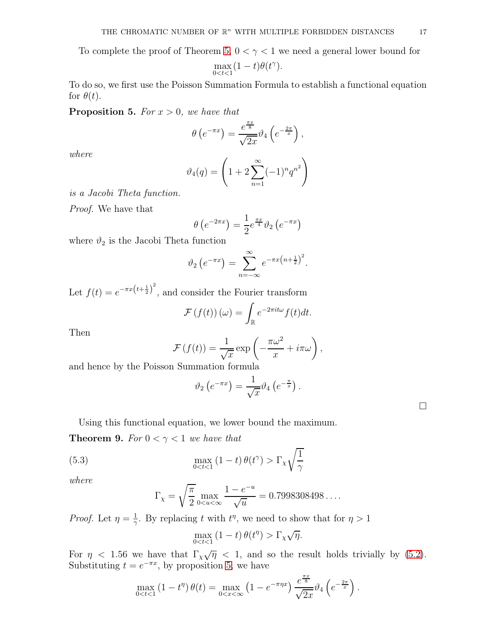To complete the proof of Theorem [5,](#page-3-0)  $0 < \gamma < 1$  we need a general lower bound for

$$
\max_{0
$$

To do so, we first use the Poisson Summation Formula to establish a functional equation for  $\theta(t)$ .

<span id="page-16-0"></span>**Proposition 5.** For  $x > 0$ , we have that

$$
\theta\left(e^{-\pi x}\right) = \frac{e^{\frac{\pi x}{8}}}{\sqrt{2x}} \vartheta_4\left(e^{-\frac{2\pi}{x}}\right),
$$

where

$$
\vartheta_4(q) = \left(1 + 2\sum_{n=1}^{\infty} (-1)^n q^{n^2}\right)
$$

is a Jacobi Theta function.

Proof. We have that

$$
\theta\left(e^{-2\pi x}\right) = \frac{1}{2}e^{\frac{\pi x}{4}}\vartheta_2\left(e^{-\pi x}\right)
$$

where  $\vartheta_2$  is the Jacobi Theta function

$$
\vartheta_2\left(e^{-\pi x}\right) = \sum_{n=-\infty}^{\infty} e^{-\pi x\left(n+\frac{1}{2}\right)^2}.
$$

Let  $f(t) = e^{-\pi x (t + \frac{1}{2})^2}$ , and consider the Fourier transform

$$
\mathcal{F}(f(t))(\omega) = \int_{\mathbb{R}} e^{-2\pi i t \omega} f(t) dt.
$$

Then

$$
\mathcal{F}(f(t)) = \frac{1}{\sqrt{x}} \exp\left(-\frac{\pi\omega^2}{x} + i\pi\omega\right),\,
$$

and hence by the Poisson Summation formula

$$
\vartheta_2\left(e^{-\pi x}\right) = \frac{1}{\sqrt{x}} \vartheta_4\left(e^{-\frac{\pi}{x}}\right).
$$

|  |  |  |  |  |  |  |  |  |  | Using this functional equation, we lower bound the maximum. |
|--|--|--|--|--|--|--|--|--|--|-------------------------------------------------------------|
|--|--|--|--|--|--|--|--|--|--|-------------------------------------------------------------|

<span id="page-16-1"></span>**Theorem 9.** For  $0 < \gamma < 1$  we have that

(5.3) 
$$
\max_{0 < t < 1} (1 - t) \theta(t^{\gamma}) > \Gamma_{\chi} \sqrt{\frac{1}{\gamma}}
$$

where

$$
\Gamma_{\chi} = \sqrt{\frac{\pi}{2}} \max_{0 \le u \le \infty} \frac{1 - e^{-u}}{\sqrt{u}} = 0.7998308498...
$$

*Proof.* Let  $\eta = \frac{1}{\gamma}$  $\frac{1}{\gamma}$ . By replacing t with  $t^{\eta}$ , we need to show that for  $\eta > 1$ 

$$
\max_{0 < t < 1} \left( 1 - t \right) \theta(t^{\eta}) > \Gamma_{\chi} \sqrt{\eta}.
$$

For  $\eta$  < 1.56 we have that  $\Gamma_{\chi}\sqrt{\eta}$  < 1, and so the result holds trivially by [\(5.2\)](#page-14-2). Substituting  $t = e^{-\pi x}$ , by proposition [5,](#page-16-0) we have

$$
\max_{0 < t < 1} \left(1 - t^{\eta}\right) \theta(t) = \max_{0 < x < \infty} \left(1 - e^{-\pi \eta x}\right) \frac{e^{\frac{\pi x}{8}}}{\sqrt{2x}} \vartheta_4\left(e^{-\frac{2\pi}{x}}\right).
$$

 $\Box$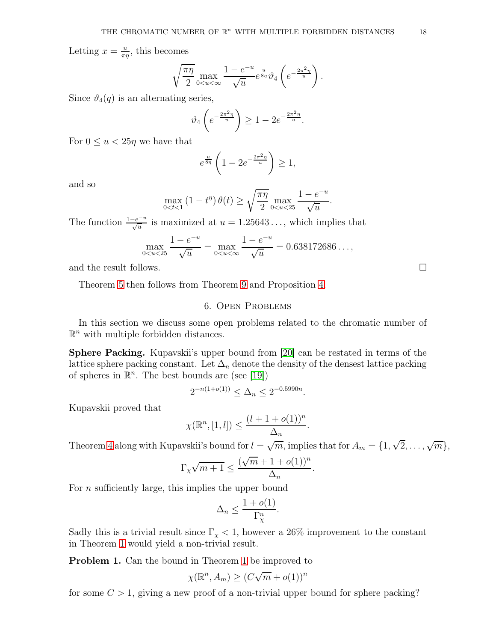Letting  $x = \frac{u}{\pi i}$  $\frac{u}{\pi\eta}$ , this becomes

$$
\sqrt{\frac{\pi\eta}{2}}\max_{0
$$

Since  $\vartheta_4(q)$  is an alternating series,

$$
\vartheta_4\left(e^{-\frac{2\pi^2\eta}{u}}\right) \ge 1 - 2e^{-\frac{2\pi^2\eta}{u}}.
$$

For  $0 \le u < 25\eta$  we have that

$$
e^{\frac{u}{8\eta}}\left(1-2e^{-\frac{2\pi^2\eta}{u}}\right) \ge 1,
$$

and so

$$
\max_{0 < t < 1} \left( 1 - t^{\eta} \right) \theta(t) \ge \sqrt{\frac{\pi \eta}{2}} \max_{0 < u < 25} \frac{1 - e^{-u}}{\sqrt{u}}.
$$

The function  $\frac{1-e^{-u}}{\sqrt{u}}$  is maximized at  $u = 1.25643...$ , which implies that

$$
\max_{0 < u < 25} \frac{1 - e^{-u}}{\sqrt{u}} = \max_{0 < u < \infty} \frac{1 - e^{-u}}{\sqrt{u}} = 0.638172686\dots,
$$

and the result follows.

<span id="page-17-0"></span>Theorem [5](#page-3-0) then follows from Theorem [9](#page-16-1) and Proposition [4.](#page-15-0)

### 6. Open Problems

In this section we discuss some open problems related to the chromatic number of  $\mathbb{R}^n$  with multiple forbidden distances.

Sphere Packing. Kupavskii's upper bound from [\[20\]](#page-22-8) can be restated in terms of the lattice sphere packing constant. Let  $\Delta_n$  denote the density of the densest lattice packing of spheres in  $\mathbb{R}^n$ . The best bounds are (see [\[19\]](#page-22-21))

$$
2^{-n(1+o(1))} \le \Delta_n \le 2^{-0.5990n}.
$$

Kupavskii proved that

$$
\chi(\mathbb{R}^n, [1, l]) \le \frac{(l+1+o(1))^n}{\Delta_n}
$$

Theorem [4](#page-2-2) along with Kupavskii's bound for  $l = \sqrt{m}$ , implies that for  $A_m = \{1, \sqrt{2}, \dots, \sqrt{m}\},$ 

.

$$
\Gamma_{\chi}\sqrt{m+1}\leq \frac{(\sqrt{m}+1+o(1))^n}{\Delta_n}.
$$

For *n* sufficiently large, this implies the upper bound

$$
\Delta_n \le \frac{1 + o(1)}{\Gamma_\chi^n}.
$$

Sadly this is a trivial result since  $\Gamma_{\chi}$  < 1, however a 26% improvement to the constant in Theorem [1](#page-1-1) would yield a non-trivial result.

Problem 1. Can the bound in Theorem [1](#page-1-1) be improved to

$$
\chi(\mathbb{R}^n, A_m) \ge (C\sqrt{m} + o(1))^n
$$

for some  $C > 1$ , giving a new proof of a non-trivial upper bound for sphere packing?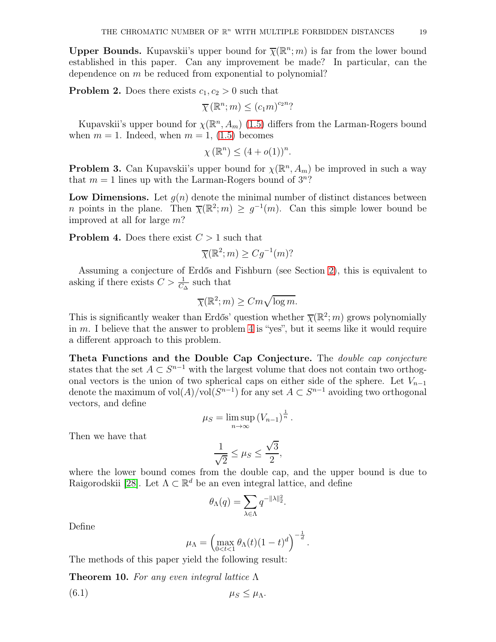**Upper Bounds.** Kupavskii's upper bound for  $\overline{\chi}(\mathbb{R}^n; m)$  is far from the lower bound established in this paper. Can any improvement be made? In particular, can the dependence on m be reduced from exponential to polynomial?

**Problem 2.** Does there exists  $c_1, c_2 > 0$  such that

$$
\overline{\chi}(\mathbb{R}^n;m) \le (c_1m)^{c_2n}
$$
?

Kupavskii's upper bound for  $\chi(\mathbb{R}^n, A_m)$  [\(1.5\)](#page-1-3) differs from the Larman-Rogers bound when  $m = 1$ . Indeed, when  $m = 1$ , [\(1.5\)](#page-1-3) becomes

$$
\chi(\mathbb{R}^n) \le (4+o(1))^n.
$$

**Problem 3.** Can Kupavskii's upper bound for  $\chi(\mathbb{R}^n, A_m)$  be improved in such a way that  $m = 1$  lines up with the Larman-Rogers bound of  $3^n$ ?

Low Dimensions. Let  $g(n)$  denote the minimal number of distinct distances between *n* points in the plane. Then  $\overline{\chi}(\mathbb{R}^2; m) \geq g^{-1}(m)$ . Can this simple lower bound be improved at all for large m?

<span id="page-18-1"></span>**Problem 4.** Does there exist  $C > 1$  such that

$$
\overline{\chi}(\mathbb{R}^2; m) \ge Cg^{-1}(m)?
$$

Assuming a conjecture of Erdős and Fishburn (see Section [2\)](#page-4-0), this is equivalent to asking if there exists  $C > \frac{1}{C_{\Delta}}$  such that

$$
\overline{\chi}(\mathbb{R}^2; m) \ge Cm\sqrt{\log m}.
$$

This is significantly weaker than Erdős' question whether  $\bar{\chi}(\mathbb{R}^2; m)$  grows polynomially in m. I believe that the answer to problem [4](#page-18-1) is "yes", but it seems like it would require a different approach to this problem.

Theta Functions and the Double Cap Conjecture. The double cap conjecture states that the set  $A \subset S^{n-1}$  with the largest volume that does not contain two orthogonal vectors is the union of two spherical caps on either side of the sphere. Let  $V_{n-1}$ denote the maximum of  $\text{vol}(A)/\text{vol}(S^{n-1})$  for any set  $A \subset S^{n-1}$  avoiding two orthogonal vectors, and define

$$
\mu_S = \limsup_{n \to \infty} (V_{n-1})^{\frac{1}{n}}.
$$

Then we have that

$$
\frac{1}{\sqrt{2}} \le \mu_S \le \frac{\sqrt{3}}{2},
$$

where the lower bound comes from the double cap, and the upper bound is due to Raigorodskii [\[28\]](#page-22-22). Let  $\Lambda \subset \mathbb{R}^d$  be an even integral lattice, and define

$$
\theta_{\Lambda}(q) = \sum_{\lambda \in \Lambda} q^{-\|\lambda\|_2^2}.
$$

Define

$$
\mu_{\Lambda} = \left( \max_{0 < t < 1} \theta_{\Lambda}(t) (1-t)^d \right)^{-\frac{1}{d}}.
$$

The methods of this paper yield the following result:

<span id="page-18-0"></span>**Theorem 10.** For any even integral lattice  $\Lambda$ 

$$
\mu_S \leq \mu_\Lambda.
$$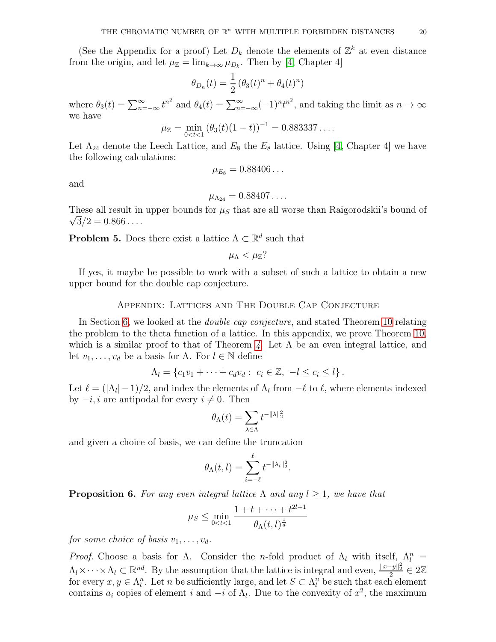(See the Appendix for a proof) Let  $D_k$  denote the elements of  $\mathbb{Z}^k$  at even distance from the origin, and let  $\mu_{\mathbb{Z}} = \lim_{k \to \infty} \mu_{D_k}$ . Then by [\[4,](#page-21-6) Chapter 4]

$$
\theta_{D_n}(t) = \frac{1}{2} \left( \theta_3(t)^n + \theta_4(t)^n \right)
$$

where  $\theta_3(t) = \sum_{n=-\infty}^{\infty} t^{n^2}$  and  $\theta_4(t) = \sum_{n=-\infty}^{\infty} (-1)^n t^{n^2}$ , and taking the limit as  $n \to \infty$ we have

$$
\mu_{\mathbb{Z}} = \min_{0 < t < 1} (\theta_3(t)(1-t))^{-1} = 0.883337\ldots
$$

Let  $\Lambda_{24}$  denote the Leech Lattice, and  $E_8$  the  $E_8$  lattice. Using [\[4,](#page-21-6) Chapter 4] we have the following calculations:

$$
\mu_{E_8}=0.88406\ldots
$$

and

$$
\mu_{\Lambda_{24}}=0.88407\ldots
$$

These all result in upper bounds for  $\mu<sub>S</sub>$  that are all worse than Raigorodskii's bound of  $\sqrt{3}/2 = 0.866...$ 

**Problem 5.** Does there exist a lattice  $\Lambda \subset \mathbb{R}^d$  such that

$$
\mu_{\Lambda} < \mu_{\mathbb{Z}}?
$$

If yes, it maybe be possible to work with a subset of such a lattice to obtain a new upper bound for the double cap conjecture.

# Appendix: Lattices and The Double Cap Conjecture

In Section [6,](#page-17-0) we looked at the double cap conjecture, and stated Theorem [10](#page-18-0) relating the problem to the theta function of a lattice. In this appendix, we prove Theorem [10,](#page-18-0) which is a similar proof to that of Theorem [4](#page-2-2). Let  $\Lambda$  be an even integral lattice, and let  $v_1, \ldots, v_d$  be a basis for  $\Lambda$ . For  $l \in \mathbb{N}$  define

$$
\Lambda_l = \{c_1v_1 + \cdots + c_d v_d : c_i \in \mathbb{Z}, -l \leq c_i \leq l\}.
$$

Let  $\ell = (\vert \Lambda_l \vert -1)/2$ , and index the elements of  $\Lambda_l$  from  $-\ell$  to  $\ell$ , where elements indexed by  $-i$ , *i* are antipodal for every  $i \neq 0$ . Then

$$
\theta_{\Lambda}(t) = \sum_{\lambda \in \Lambda} t^{-\|\lambda\|_2^2}
$$

and given a choice of basis, we can define the truncation

$$
\theta_{\Lambda}(t,l)=\sum_{i=-\ell}^{\ell}t^{-\|\lambda_i\|_2^2}.
$$

**Proposition 6.** For any even integral lattice  $\Lambda$  and any  $l \geq 1$ , we have that

$$
\mu_S \le \min_{0 < t < 1} \frac{1 + t + \dots + t^{2l+1}}{\theta_\Lambda(t, l)^{\frac{1}{d}}}
$$

for some choice of basis  $v_1, \ldots, v_d$ .

*Proof.* Choose a basis for  $\Lambda$ . Consider the *n*-fold product of  $\Lambda$ <sub>l</sub> with itself,  $\Lambda$ <sup>n</sup> =  $\Lambda_l \times \cdots \times \Lambda_l \subset \mathbb{R}^{nd}$ . By the assumption that the lattice is integral and even,  $\frac{\|x-y\|_2^2}{r^2} \in 2\mathbb{Z}$ for every  $x, y \in \Lambda_l^n$ . Let n be sufficiently large, and let  $S \subset \Lambda_l^n$  be such that each element contains  $a_i$  copies of element i and  $-i$  of  $\Lambda_l$ . Due to the convexity of  $x^2$ , the maximum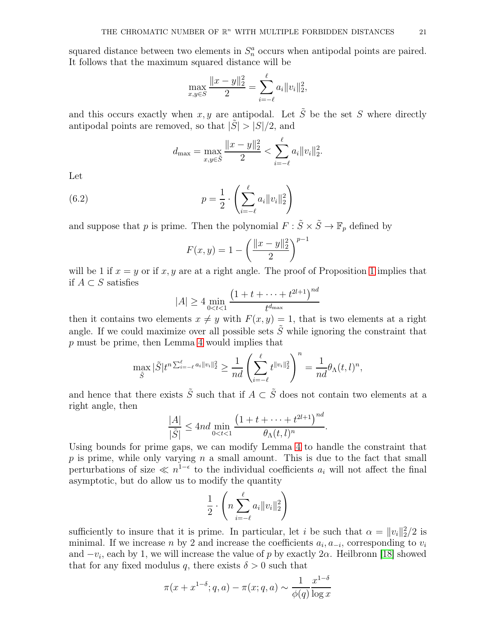squared distance between two elements in  $S_n^a$  occurs when antipodal points are paired. It follows that the maximum squared distance will be

$$
\max_{x,y\in S} \frac{\|x-y\|_2^2}{2} = \sum_{i=-\ell}^{\ell} a_i \|v_i\|_2^2,
$$

and this occurs exactly when x, y are antipodal. Let  $\tilde{S}$  be the set S where directly antipodal points are removed, so that  $|\tilde{S}| > |S|/2$ , and

$$
d_{\max} = \max_{x,y \in \tilde{S}} \frac{\|x - y\|_2^2}{2} < \sum_{i = -\ell}^{\ell} a_i \|v_i\|_2^2.
$$

Let

(6.2) 
$$
p = \frac{1}{2} \cdot \left( \sum_{i=-\ell}^{\ell} a_i \|v_i\|_2^2 \right)
$$

and suppose that p is prime. Then the polynomial  $F : \tilde{S} \times \tilde{S} \to \mathbb{F}_p$  defined by

$$
F(x, y) = 1 - \left(\frac{\|x - y\|_2^2}{2}\right)^{p-1}
$$

will be [1](#page-11-0) if  $x = y$  or if x, y are at a right angle. The proof of Proposition 1 implies that if  $A ⊂ S$  satisfies

$$
|A| \ge 4 \min_{0 < t < 1} \frac{\left(1 + t + \dots + t^{2l+1}\right)^{nd}}{t^{d_{\max}}}
$$

then it contains two elements  $x \neq y$  with  $F(x, y) = 1$ , that is two elements at a right angle. If we could maximize over all possible sets  $\tilde{S}$  while ignoring the constraint that p must be prime, then Lemma [4](#page-12-0) would implies that

$$
\max_{\tilde{S}} |\tilde{S}| t^{n \sum_{i=-\ell}^{\ell} a_i \|v_i\|_2^2} \ge \frac{1}{nd} \left( \sum_{i=-\ell}^{\ell} t^{\|v_i\|_2^2} \right)^n = \frac{1}{nd} \theta_{\Lambda}(t, l)^n,
$$

and hence that there exists  $\tilde{S}$  such that if  $A \subset \tilde{S}$  does not contain two elements at a right angle, then

$$
\frac{|A|}{|\tilde{S}|} \leq 4nd \min_{0 < t < 1} \frac{\left(1 + t + \dots + t^{2l+1}\right)^{nd}}{\theta_{\Lambda}(t, l)^n}.
$$

Using bounds for prime gaps, we can modify Lemma [4](#page-12-0) to handle the constraint that  $p$  is prime, while only varying  $n$  a small amount. This is due to the fact that small perturbations of size  $\ll n^{1-\epsilon}$  to the individual coefficients  $a_i$  will not affect the final asymptotic, but do allow us to modify the quantity

$$
\frac{1}{2} \cdot \left( n \sum_{i=-\ell}^{\ell} a_i \|v_i\|_2^2 \right)
$$

sufficiently to insure that it is prime. In particular, let i be such that  $\alpha = ||v_i||_2^2/2$  is minimal. If we increase n by 2 and increase the coefficients  $a_i, a_{-i}$ , corresponding to  $v_i$ and  $-v_i$ , each by 1, we will increase the value of p by exactly  $2\alpha$ . Heilbronn [\[18\]](#page-22-23) showed that for any fixed modulus q, there exists  $\delta > 0$  such that

$$
\pi(x+x^{1-\delta};q,a) - \pi(x;q,a) \sim \frac{1}{\phi(q)} \frac{x^{1-\delta}}{\log x}
$$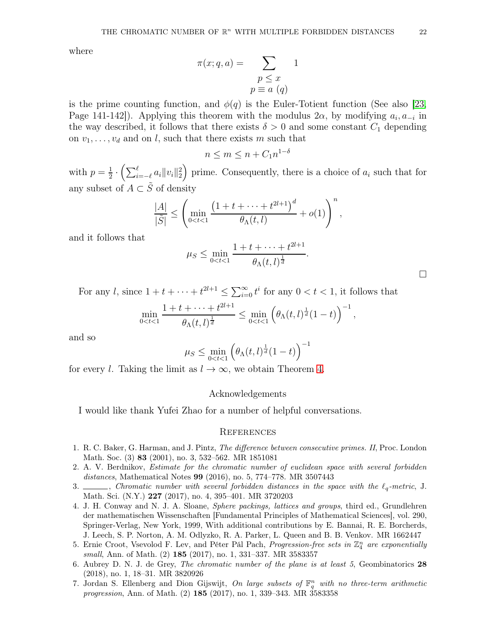where

$$
\pi(x; q, a) = \sum_{\substack{p \le x \\ p \equiv a \ (q)}} 1
$$

is the prime counting function, and  $\phi(q)$  is the Euler-Totient function (See also [\[23,](#page-22-24) Page 141-142]). Applying this theorem with the modulus  $2\alpha$ , by modifying  $a_i, a_{-i}$  in the way described, it follows that there exists  $\delta > 0$  and some constant  $C_1$  depending on  $v_1, \ldots, v_d$  and on l, such that there exists m such that

$$
n \le m \le n + C_1 n^{1-\delta}
$$

with  $p=\frac{1}{2}$  $\frac{1}{2} \cdot \left( \sum_{i=-\ell}^{\ell} a_i ||v_i||_2^2 \right)$  prime. Consequently, there is a choice of  $a_i$  such that for any subset of  $A \subset \tilde S$  of density

$$
\frac{|A|}{|\tilde{S}|} \le \left(\min_{0 < t < 1} \frac{\left(1 + t + \dots + t^{2l+1}\right)^d}{\theta_{\Lambda}(t, l)} + o(1)\right)^n,
$$

and it follows that

$$
\mu_S \le \min_{0 < t < 1} \frac{1 + t + \dots + t^{2l+1}}{\theta_{\Lambda}(t, l)^{\frac{1}{d}}}.
$$

For any l, since  $1 + t + \cdots + t^{2l+1} \le \sum_{i=0}^{\infty} t^i$  for any  $0 < t < 1$ , it follows that

$$
\min_{0
$$

and so

$$
\mu_S \le \min_{0 < t < 1} \left( \theta_\Lambda(t, l)^{\frac{1}{d}} (1 - t) \right)^{-1}
$$

for every l. Taking the limit as  $l \to \infty$ , we obtain Theorem [4.](#page-2-2)

# Acknowledgements

I would like thank Yufei Zhao for a number of helpful conversations.

# **REFERENCES**

- <span id="page-21-5"></span>1. R. C. Baker, G. Harman, and J. Pintz, The difference between consecutive primes. II, Proc. London Math. Soc. (3) 83 (2001), no. 3, 532–562. MR 1851081
- <span id="page-21-1"></span>2. A. V. Berdnikov, Estimate for the chromatic number of euclidean space with several forbidden distances, Mathematical Notes 99 (2016), no. 5, 774–778. MR 3507443
- <span id="page-21-2"></span>3.  $\_\_\_\_\_\_\_\_\_\.\$  Chromatic number with several forbidden distances in the space with the  $\ell_q$ -metric, J. Math. Sci. (N.Y.) 227 (2017), no. 4, 395–401. MR 3720203
- <span id="page-21-6"></span>4. J. H. Conway and N. J. A. Sloane, Sphere packings, lattices and groups, third ed., Grundlehren der mathematischen Wissenschaften [Fundamental Principles of Mathematical Sciences], vol. 290, Springer-Verlag, New York, 1999, With additional contributions by E. Bannai, R. E. Borcherds, J. Leech, S. P. Norton, A. M. Odlyzko, R. A. Parker, L. Queen and B. B. Venkov. MR 1662447
- <span id="page-21-3"></span>5. Ernie Croot, Vsevolod F. Lev, and Péter Pál Pach, *Progression-free sets in*  $\mathbb{Z}_4^n$  are exponentially small, Ann. of Math. (2) 185 (2017), no. 1, 331–337. MR 3583357
- <span id="page-21-0"></span>6. Aubrey D. N. J. de Grey, The chromatic number of the plane is at least 5, Geombinatorics 28 (2018), no. 1, 18–31. MR 3820926
- <span id="page-21-4"></span>7. Jordan S. Ellenberg and Dion Gijswijt, On large subsets of  $\mathbb{F}_q^n$  with no three-term arithmetic progression, Ann. of Math. (2) 185 (2017), no. 1, 339–343. MR 3583358

 $\Box$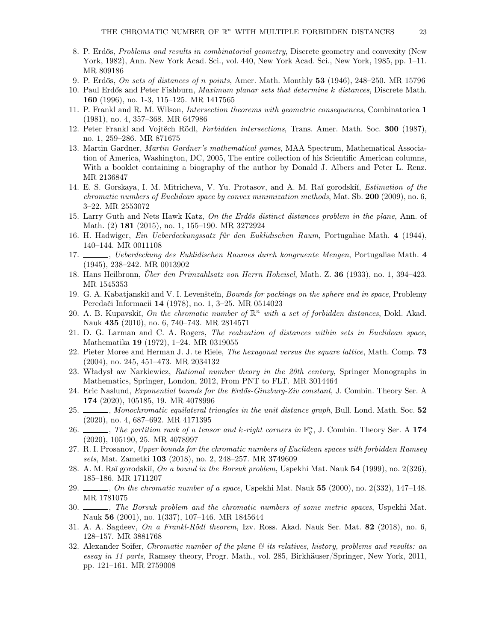- <span id="page-22-6"></span>8. P. Erdős, Problems and results in combinatorial geometry, Discrete geometry and convexity (New York, 1982), Ann. New York Acad. Sci., vol. 440, New York Acad. Sci., New York, 1985, pp. 1–11. MR 809186
- <span id="page-22-19"></span><span id="page-22-17"></span>9. P. Erdős, On sets of distances of n points, Amer. Math. Monthly 53 (1946), 248–250. MR 15796
- 10. Paul Erdős and Peter Fishburn, Maximum planar sets that determine k distances, Discrete Math. 160 (1996), no. 1-3, 115–125. MR 1417565
- <span id="page-22-3"></span>11. P. Frankl and R. M. Wilson, *Intersection theorems with geometric consequences*, Combinatorica 1 (1981), no. 4, 357–368. MR 647986
- <span id="page-22-10"></span>12. Peter Frankl and Vojtěch Rödl, Forbidden intersections, Trans. Amer. Math. Soc. 300 (1987), no. 1, 259–286. MR 871675
- <span id="page-22-0"></span>13. Martin Gardner, Martin Gardner's mathematical games, MAA Spectrum, Mathematical Association of America, Washington, DC, 2005, The entire collection of his Scientific American columns, With a booklet containing a biography of the author by Donald J. Albers and Peter L. Renz. MR 2136847
- <span id="page-22-16"></span>14. E. S. Gorskaya, I. M. Mitricheva, V. Yu. Protasov, and A. M. Raĭ gorodskiĭ, *Estimation of the* chromatic numbers of Euclidean space by convex minimization methods, Mat. Sb. 200 (2009), no. 6, 3–22. MR 2553072
- <span id="page-22-18"></span><span id="page-22-1"></span>15. Larry Guth and Nets Hawk Katz, On the Erdős distinct distances problem in the plane, Ann. of Math. (2) 181 (2015), no. 1, 155–190. MR 3272924
- <span id="page-22-2"></span>16. H. Hadwiger, Ein Ueberdeckungssatz für den Euklidischen Raum, Portugaliae Math. 4 (1944), 140–144. MR 0011108
- 17. Suit-Ueberdeckung des Euklidischen Raumes durch kongruente Mengen, Portugaliae Math. 4 (1945), 238–242. MR 0013902
- <span id="page-22-23"></span><span id="page-22-21"></span>18. Hans Heilbronn, Über den Primzahlsatz von Herrn Hoheisel, Math. Z. 36 (1933), no. 1, 394–423. MR 1545353
- 19. G. A. Kabatjanskiĭ and V. I. Levenšteĭn, *Bounds for packings on the sphere and in space*, Problemy Peredači Informacii 14 (1978), no. 1, 3–25. MR 0514023
- <span id="page-22-8"></span>20. A. B. Kupavskiı̆, On the chromatic number of  $\mathbb{R}^n$  with a set of forbidden distances, Dokl. Akad. Nauk 435 (2010), no. 6, 740–743. MR 2814571
- <span id="page-22-5"></span>21. D. G. Larman and C. A. Rogers, The realization of distances within sets in Euclidean space, Mathematika 19 (1972), 1–24. MR 0319055
- <span id="page-22-20"></span>22. Pieter Moree and Herman J. J. te Riele, *The hexagonal versus the square lattice*, Math. Comp. **73** (2004), no. 245, 451–473. MR 2034132
- <span id="page-22-24"></span>23. Władysł aw Narkiewicz, Rational number theory in the 20th century, Springer Monographs in Mathematics, Springer, London, 2012, From PNT to FLT. MR 3014464
- <span id="page-22-15"></span>24. Eric Naslund, Exponential bounds for the Erdős-Ginzburg-Ziv constant, J. Combin. Theory Ser. A 174 (2020), 105185, 19. MR 4078996
- <span id="page-22-13"></span>25. Monochromatic equilateral triangles in the unit distance graph, Bull. Lond. Math. Soc. 52 (2020), no. 4, 687–692. MR 4171395
- <span id="page-22-14"></span>26.  $\ldots$ , The partition rank of a tensor and k-right corners in  $\mathbb{F}_q^n$ , J. Combin. Theory Ser. A 174 (2020), 105190, 25. MR 4078997
- <span id="page-22-12"></span>27. R. I. Prosanov, Upper bounds for the chromatic numbers of Euclidean spaces with forbidden Ramsey sets, Mat. Zametki 103 (2018), no. 2, 248–257. MR 3749609
- <span id="page-22-22"></span><span id="page-22-4"></span>28. A. M. Raĭ gorodskiĭ, On a bound in the Borsuk problem, Uspekhi Mat. Nauk 54 (1999), no. 2(326), 185–186. MR 1711207
- <span id="page-22-9"></span>29.  $\mu$ , On the chromatic number of a space, Uspekhi Mat. Nauk 55 (2000), no. 2(332), 147–148. MR 1781075
- 30.  $\_\_\_\_\_\$ n. The Borsuk problem and the chromatic numbers of some metric spaces, Uspekhi Mat. Nauk 56 (2001), no. 1(337), 107–146. MR 1845644
- <span id="page-22-11"></span><span id="page-22-7"></span>31. A. A. Sagdeev, On a Frankl-Rödl theorem, Izv. Ross. Akad. Nauk Ser. Mat. 82 (2018), no. 6, 128–157. MR 3881768
- 32. Alexander Soifer, Chromatic number of the plane  $\mathcal B$  its relatives, history, problems and results: an essay in 11 parts, Ramsey theory, Progr. Math., vol. 285, Birkhäuser/Springer, New York, 2011, pp. 121–161. MR 2759008